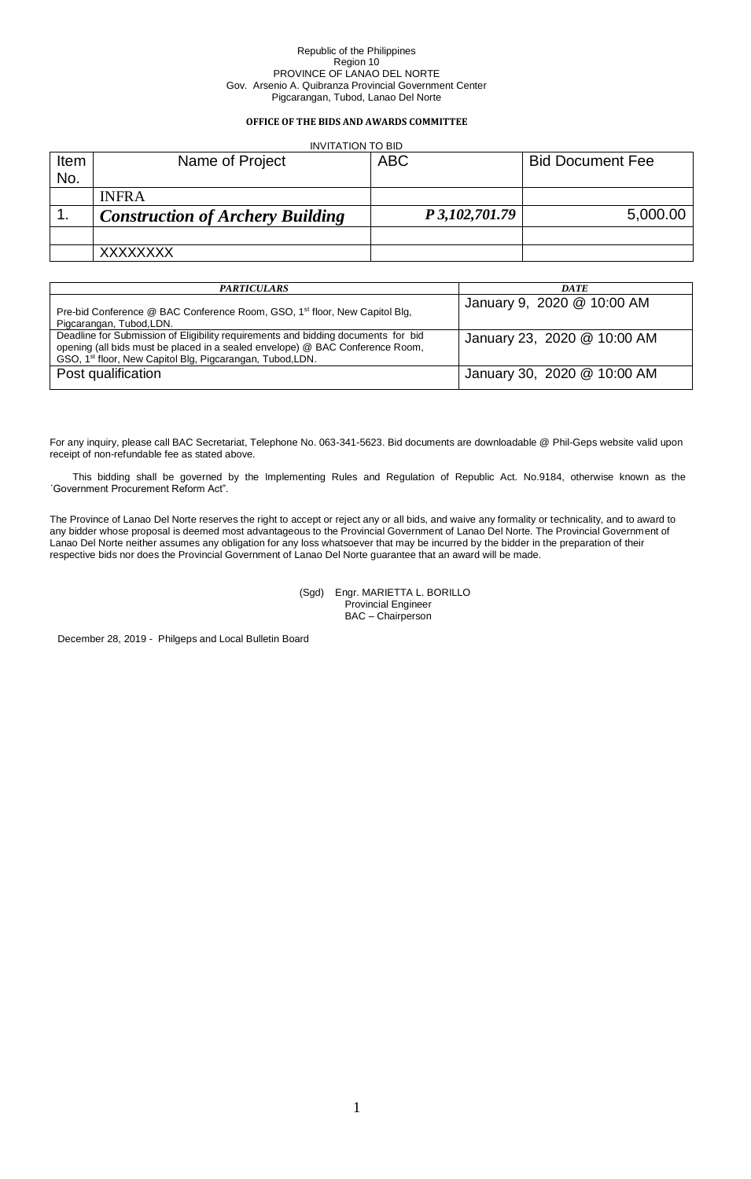# **OFFICE OF THE BIDS AND AWARDS COMMITTEE**

# INVITATION TO BID

| Item | Name of Project                         | <b>ABC</b>     | <b>Bid Document Fee</b> |
|------|-----------------------------------------|----------------|-------------------------|
| No.  |                                         |                |                         |
|      | <b>INFRA</b>                            |                |                         |
| . .  | <b>Construction of Archery Building</b> | P 3,102,701.79 | 5,000.00                |
|      |                                         |                |                         |
|      | XXXXXXXX                                |                |                         |

| <b>PARTICULARS</b>                                                                                                                                                                                                                          | <b>DATE</b>                 |
|---------------------------------------------------------------------------------------------------------------------------------------------------------------------------------------------------------------------------------------------|-----------------------------|
| Pre-bid Conference @ BAC Conference Room, GSO, 1 <sup>st</sup> floor, New Capitol Blg,<br>Pigcarangan, Tubod, LDN.                                                                                                                          | January 9, 2020 @ 10:00 AM  |
| Deadline for Submission of Eligibility requirements and bidding documents for bid<br>opening (all bids must be placed in a sealed envelope) @ BAC Conference Room,<br>GSO, 1 <sup>st</sup> floor, New Capitol Blg, Pigcarangan, Tubod, LDN. | January 23, 2020 @ 10:00 AM |
| Post qualification                                                                                                                                                                                                                          | January 30, 2020 @ 10:00 AM |

For any inquiry, please call BAC Secretariat, Telephone No. 063-341-5623. Bid documents are downloadable @ Phil-Geps website valid upon receipt of non-refundable fee as stated above.

This bidding shall be governed by the Implementing Rules and Regulation of Republic Act. No.9184, otherwise known as the ´Government Procurement Reform Act".

The Province of Lanao Del Norte reserves the right to accept or reject any or all bids, and waive any formality or technicality, and to award to any bidder whose proposal is deemed most advantageous to the Provincial Government of Lanao Del Norte. The Provincial Government of Lanao Del Norte neither assumes any obligation for any loss whatsoever that may be incurred by the bidder in the preparation of their respective bids nor does the Provincial Government of Lanao Del Norte guarantee that an award will be made.

> (Sgd) Engr. MARIETTA L. BORILLO Provincial Engineer BAC – Chairperson

December 28, 2019 - Philgeps and Local Bulletin Board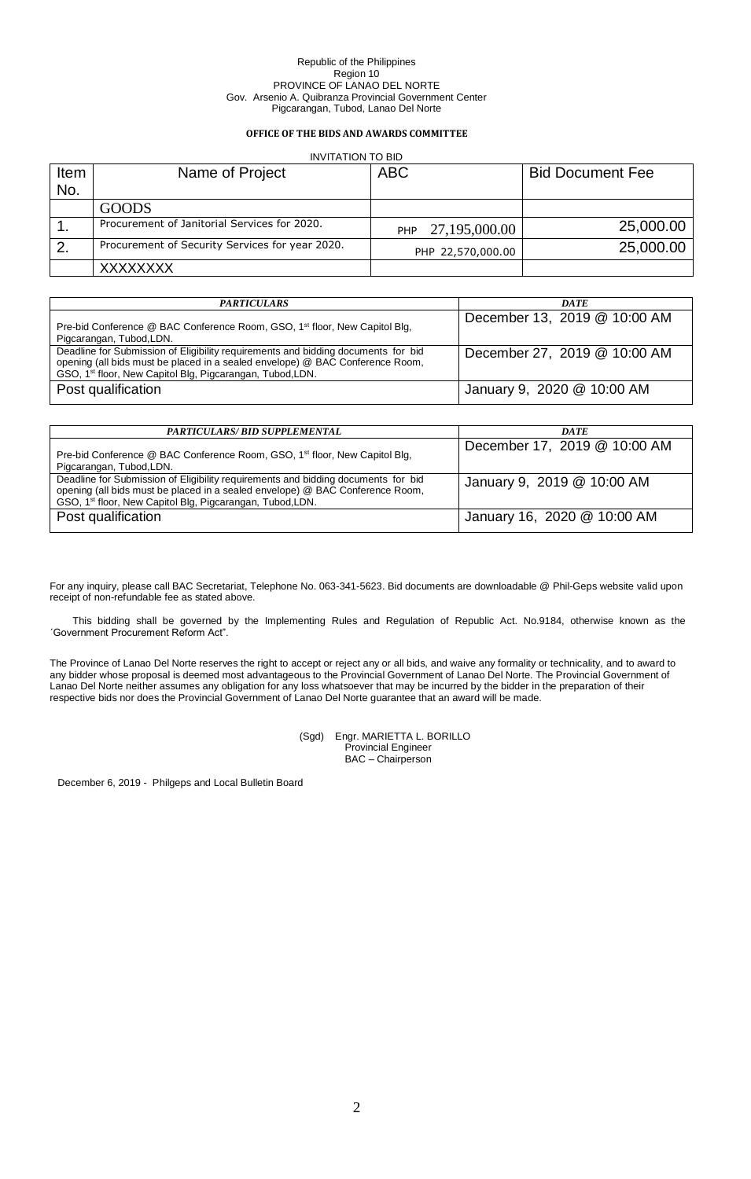### **OFFICE OF THE BIDS AND AWARDS COMMITTEE**

#### INVITATION TO BID

| Item | Name of Project                                 | <b>ABC</b>                  | <b>Bid Document Fee</b> |
|------|-------------------------------------------------|-----------------------------|-------------------------|
| No.  |                                                 |                             |                         |
|      | <b>GOODS</b>                                    |                             |                         |
|      | Procurement of Janitorial Services for 2020.    | 27,195,000.00<br><b>PHP</b> | 25,000.00               |
|      | Procurement of Security Services for year 2020. | PHP 22,570,000.00           | 25,000.00               |
|      | <b>XXXXXXXX</b>                                 |                             |                         |

| <b>PARTICULARS</b>                                                                                                                                                                                                                          | <b>DATE</b>                  |
|---------------------------------------------------------------------------------------------------------------------------------------------------------------------------------------------------------------------------------------------|------------------------------|
| Pre-bid Conference @ BAC Conference Room, GSO, 1 <sup>st</sup> floor, New Capitol Blg,<br>Pigcarangan, Tubod, LDN.                                                                                                                          | December 13, 2019 @ 10:00 AM |
| Deadline for Submission of Eligibility requirements and bidding documents for bid<br>opening (all bids must be placed in a sealed envelope) @ BAC Conference Room,<br>GSO, 1 <sup>st</sup> floor, New Capitol Blg, Pigcarangan, Tubod, LDN. | December 27, 2019 @ 10:00 AM |
| Post qualification                                                                                                                                                                                                                          | January 9, 2020 @ 10:00 AM   |

| <b>PARTICULARS/ BID SUPPLEMENTAL</b>                                                                                                                                                                                                        | <b>DATE</b>                  |
|---------------------------------------------------------------------------------------------------------------------------------------------------------------------------------------------------------------------------------------------|------------------------------|
| Pre-bid Conference @ BAC Conference Room, GSO, 1 <sup>st</sup> floor, New Capitol Blg,<br>Pigcarangan, Tubod, LDN.                                                                                                                          | December 17, 2019 @ 10:00 AM |
| Deadline for Submission of Eligibility requirements and bidding documents for bid<br>opening (all bids must be placed in a sealed envelope) @ BAC Conference Room,<br>GSO, 1 <sup>st</sup> floor, New Capitol Blg, Pigcarangan, Tubod, LDN. | January 9, 2019 @ 10:00 AM   |
| Post qualification                                                                                                                                                                                                                          | January 16, 2020 @ 10:00 AM  |

For any inquiry, please call BAC Secretariat, Telephone No. 063-341-5623. Bid documents are downloadable @ Phil-Geps website valid upon receipt of non-refundable fee as stated above.

This bidding shall be governed by the Implementing Rules and Regulation of Republic Act. No.9184, otherwise known as the ´Government Procurement Reform Act".

The Province of Lanao Del Norte reserves the right to accept or reject any or all bids, and waive any formality or technicality, and to award to any bidder whose proposal is deemed most advantageous to the Provincial Government of Lanao Del Norte. The Provincial Government of Lanao Del Norte neither assumes any obligation for any loss whatsoever that may be incurred by the bidder in the preparation of their respective bids nor does the Provincial Government of Lanao Del Norte guarantee that an award will be made.

> (Sgd) Engr. MARIETTA L. BORILLO Provincial Engineer BAC – Chairperson

December 6, 2019 - Philgeps and Local Bulletin Board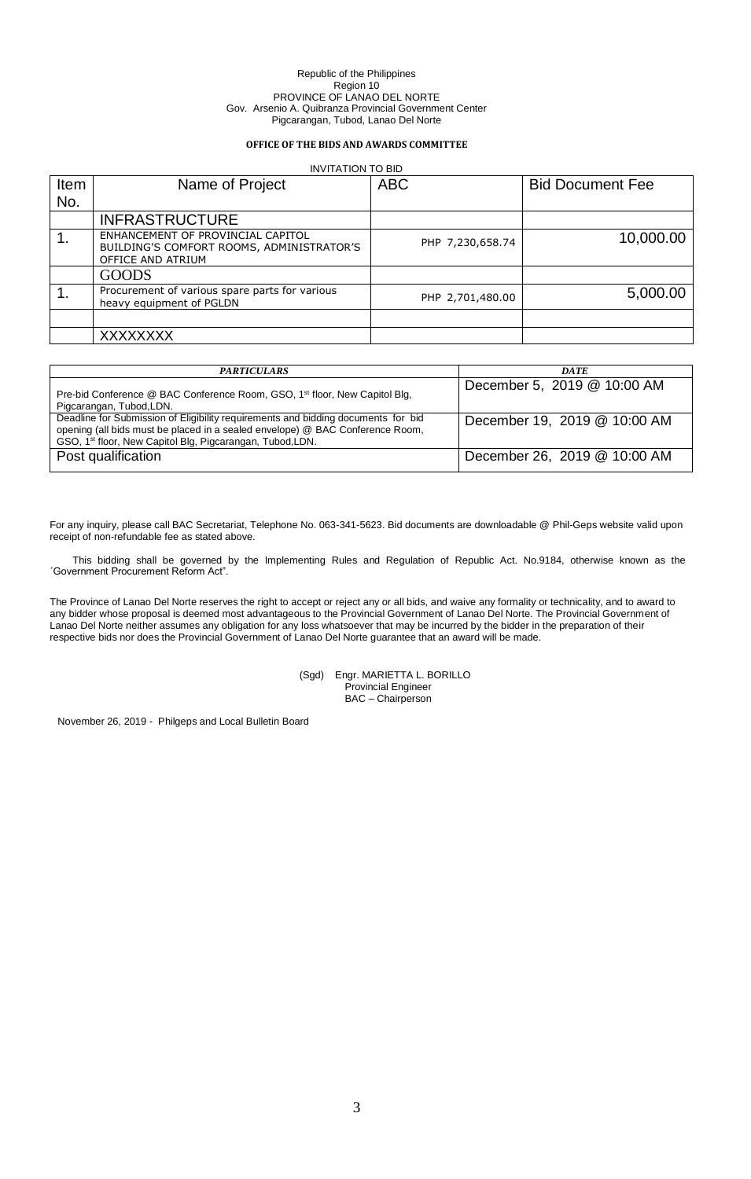## **OFFICE OF THE BIDS AND AWARDS COMMITTEE**

|      | <b>INVITATION TO BID</b>                                                                            |                  |                         |  |  |  |  |
|------|-----------------------------------------------------------------------------------------------------|------------------|-------------------------|--|--|--|--|
| Item | Name of Project                                                                                     | <b>ABC</b>       | <b>Bid Document Fee</b> |  |  |  |  |
| No.  |                                                                                                     |                  |                         |  |  |  |  |
|      | <b>INFRASTRUCTURE</b>                                                                               |                  |                         |  |  |  |  |
|      | ENHANCEMENT OF PROVINCIAL CAPITOL<br>BUILDING'S COMFORT ROOMS, ADMINISTRATOR'S<br>OFFICE AND ATRIUM | PHP 7,230,658.74 | 10,000.00               |  |  |  |  |
|      | <b>GOODS</b>                                                                                        |                  |                         |  |  |  |  |
|      | Procurement of various spare parts for various<br>heavy equipment of PGLDN                          | PHP 2,701,480.00 | 5,000.00                |  |  |  |  |
|      |                                                                                                     |                  |                         |  |  |  |  |
|      | XXXXXXXX                                                                                            |                  |                         |  |  |  |  |

| <b>PARTICULARS</b>                                                                                                                                                                                                                          | <b>DATE</b>                  |
|---------------------------------------------------------------------------------------------------------------------------------------------------------------------------------------------------------------------------------------------|------------------------------|
| Pre-bid Conference @ BAC Conference Room, GSO, 1 <sup>st</sup> floor, New Capitol Blg,<br>Pigcarangan, Tubod, LDN.                                                                                                                          | December 5, 2019 @ 10:00 AM  |
| Deadline for Submission of Eligibility requirements and bidding documents for bid<br>opening (all bids must be placed in a sealed envelope) @ BAC Conference Room,<br>GSO, 1 <sup>st</sup> floor, New Capitol Blg, Pigcarangan, Tubod, LDN. | December 19, 2019 @ 10:00 AM |
| Post qualification                                                                                                                                                                                                                          | December 26, 2019 @ 10:00 AM |

For any inquiry, please call BAC Secretariat, Telephone No. 063-341-5623. Bid documents are downloadable @ Phil-Geps website valid upon receipt of non-refundable fee as stated above.

This bidding shall be governed by the Implementing Rules and Regulation of Republic Act. No.9184, otherwise known as the ´Government Procurement Reform Act".

The Province of Lanao Del Norte reserves the right to accept or reject any or all bids, and waive any formality or technicality, and to award to any bidder whose proposal is deemed most advantageous to the Provincial Government of Lanao Del Norte. The Provincial Government of Lanao Del Norte neither assumes any obligation for any loss whatsoever that may be incurred by the bidder in the preparation of their respective bids nor does the Provincial Government of Lanao Del Norte guarantee that an award will be made.

> (Sgd) Engr. MARIETTA L. BORILLO Provincial Engineer BAC – Chairperson

November 26, 2019 - Philgeps and Local Bulletin Board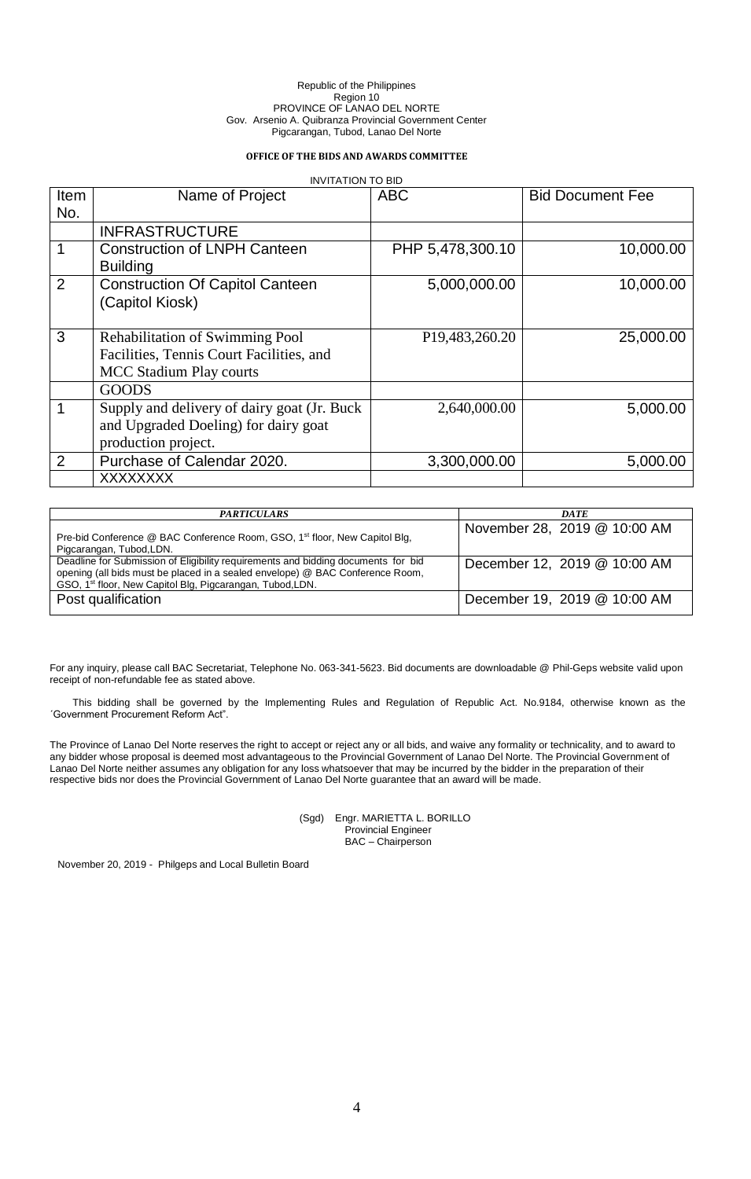## **OFFICE OF THE BIDS AND AWARDS COMMITTEE**

| <b>INVITATION TO BID</b> |                                              |                                |                         |  |  |
|--------------------------|----------------------------------------------|--------------------------------|-------------------------|--|--|
| Item                     | Name of Project                              | <b>ABC</b>                     | <b>Bid Document Fee</b> |  |  |
| No.                      |                                              |                                |                         |  |  |
|                          | <b>INFRASTRUCTURE</b>                        |                                |                         |  |  |
|                          | <b>Construction of LNPH Canteen</b>          | PHP 5,478,300.10               | 10,000.00               |  |  |
|                          | <b>Building</b>                              |                                |                         |  |  |
| $\overline{2}$           | <b>Construction Of Capitol Canteen</b>       | 5,000,000.00                   | 10,000.00               |  |  |
|                          | (Capitol Kiosk)                              |                                |                         |  |  |
|                          |                                              |                                |                         |  |  |
| 3                        | <b>Rehabilitation of Swimming Pool</b>       | P <sub>19</sub> , 483, 260. 20 | 25,000.00               |  |  |
|                          | Facilities, Tennis Court Facilities, and     |                                |                         |  |  |
|                          | <b>MCC Stadium Play courts</b>               |                                |                         |  |  |
|                          | <b>GOODS</b>                                 |                                |                         |  |  |
| 1                        | Supply and delivery of dairy goat (Jr. Buck) | 2,640,000.00                   | 5,000.00                |  |  |
|                          | and Upgraded Doeling) for dairy goat         |                                |                         |  |  |
|                          | production project.                          |                                |                         |  |  |
| $\overline{2}$           | Purchase of Calendar 2020.                   | 3,300,000.00                   | 5,000.00                |  |  |
|                          | XXXXXXXX                                     |                                |                         |  |  |

| <b>PARTICULARS</b>                                                                                                                                                                                                                          | <b>DATE</b>                  |
|---------------------------------------------------------------------------------------------------------------------------------------------------------------------------------------------------------------------------------------------|------------------------------|
| Pre-bid Conference @ BAC Conference Room, GSO, 1 <sup>st</sup> floor, New Capitol Blg,<br>Pigcarangan, Tubod, LDN.                                                                                                                          | November 28, 2019 @ 10:00 AM |
| Deadline for Submission of Eligibility requirements and bidding documents for bid<br>opening (all bids must be placed in a sealed envelope) @ BAC Conference Room,<br>GSO, 1 <sup>st</sup> floor, New Capitol Blg, Pigcarangan, Tubod, LDN. | December 12, 2019 @ 10:00 AM |
| Post qualification                                                                                                                                                                                                                          | December 19, 2019 @ 10:00 AM |

For any inquiry, please call BAC Secretariat, Telephone No. 063-341-5623. Bid documents are downloadable @ Phil-Geps website valid upon receipt of non-refundable fee as stated above.

This bidding shall be governed by the Implementing Rules and Regulation of Republic Act. No.9184, otherwise known as the ´Government Procurement Reform Act".

The Province of Lanao Del Norte reserves the right to accept or reject any or all bids, and waive any formality or technicality, and to award to any bidder whose proposal is deemed most advantageous to the Provincial Government of Lanao Del Norte. The Provincial Government of Lanao Del Norte neither assumes any obligation for any loss whatsoever that may be incurred by the bidder in the preparation of their respective bids nor does the Provincial Government of Lanao Del Norte guarantee that an award will be made.

> (Sgd) Engr. MARIETTA L. BORILLO Provincial Engineer BAC – Chairperson

November 20, 2019 - Philgeps and Local Bulletin Board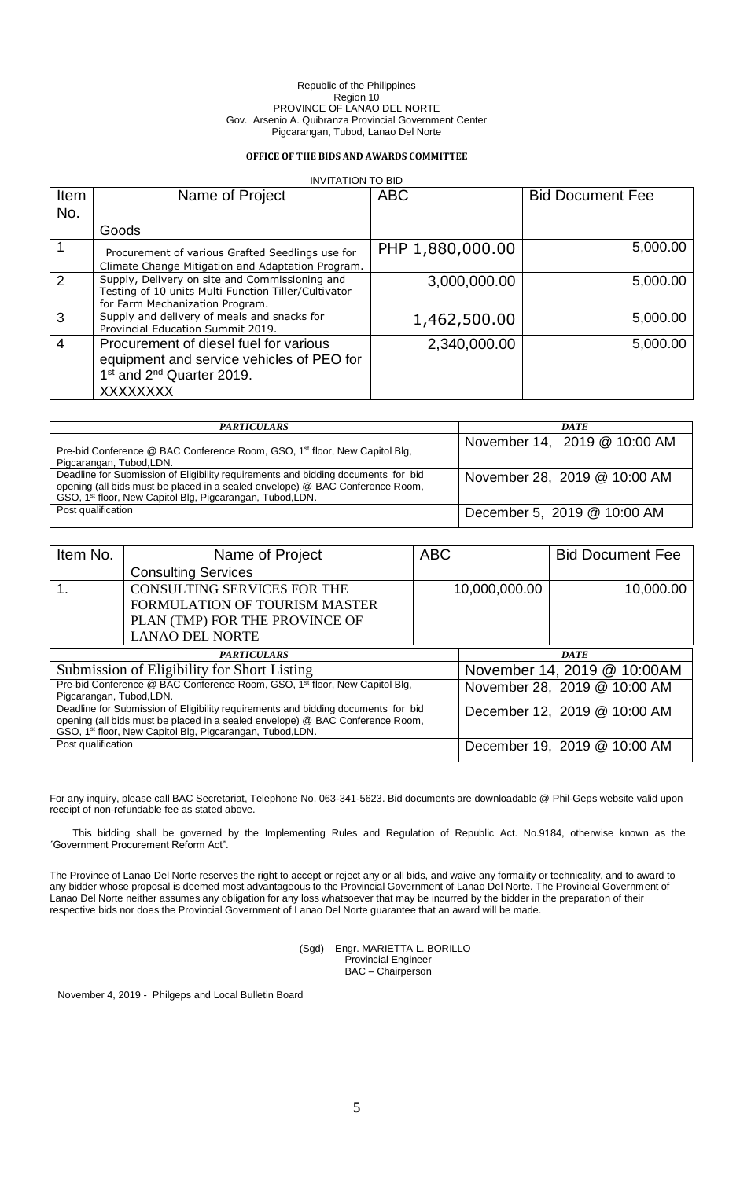### **OFFICE OF THE BIDS AND AWARDS COMMITTEE**

| <b>INVITATION TO BID</b> |                                                                                                                                           |                  |                         |  |  |
|--------------------------|-------------------------------------------------------------------------------------------------------------------------------------------|------------------|-------------------------|--|--|
| Item                     | Name of Project                                                                                                                           | <b>ABC</b>       | <b>Bid Document Fee</b> |  |  |
| No.                      |                                                                                                                                           |                  |                         |  |  |
|                          | Goods                                                                                                                                     |                  |                         |  |  |
|                          | Procurement of various Grafted Seedlings use for<br>Climate Change Mitigation and Adaptation Program.                                     | PHP 1,880,000.00 | 5,000.00                |  |  |
| 2                        | Supply, Delivery on site and Commissioning and<br>Testing of 10 units Multi Function Tiller/Cultivator<br>for Farm Mechanization Program. | 3,000,000.00     | 5,000.00                |  |  |
| 3                        | Supply and delivery of meals and snacks for<br>Provincial Education Summit 2019.                                                          | 1,462,500.00     | 5,000.00                |  |  |
| 4                        | Procurement of diesel fuel for various<br>equipment and service vehicles of PEO for<br>1 <sup>st</sup> and 2 <sup>nd</sup> Quarter 2019.  | 2,340,000.00     | 5,000.00                |  |  |
|                          | <b>XXXXXXXX</b>                                                                                                                           |                  |                         |  |  |

| <b>PARTICULARS</b>                                                                                                                                                                                                                          | DATE.                        |
|---------------------------------------------------------------------------------------------------------------------------------------------------------------------------------------------------------------------------------------------|------------------------------|
| Pre-bid Conference @ BAC Conference Room, GSO, 1 <sup>st</sup> floor, New Capitol Blg,<br>Pigcarangan, Tubod, LDN.                                                                                                                          | November 14, 2019 @ 10:00 AM |
| Deadline for Submission of Eligibility requirements and bidding documents for bid<br>opening (all bids must be placed in a sealed envelope) @ BAC Conference Room,<br>GSO, 1 <sup>st</sup> floor, New Capitol Blg, Pigcarangan, Tubod, LDN. | November 28, 2019 @ 10:00 AM |
| Post qualification                                                                                                                                                                                                                          | December 5, 2019 @ 10:00 AM  |

| Item No.                                                                                                                                                                                                                                    | Name of Project                                                                        | <b>ABC</b> |                             | <b>Bid Document Fee</b>      |
|---------------------------------------------------------------------------------------------------------------------------------------------------------------------------------------------------------------------------------------------|----------------------------------------------------------------------------------------|------------|-----------------------------|------------------------------|
|                                                                                                                                                                                                                                             | <b>Consulting Services</b>                                                             |            |                             |                              |
|                                                                                                                                                                                                                                             | <b>CONSULTING SERVICES FOR THE</b>                                                     |            | 10,000,000.00               | 10,000.00                    |
|                                                                                                                                                                                                                                             | <b>FORMULATION OF TOURISM MASTER</b>                                                   |            |                             |                              |
|                                                                                                                                                                                                                                             | PLAN (TMP) FOR THE PROVINCE OF                                                         |            |                             |                              |
|                                                                                                                                                                                                                                             | <b>LANAO DEL NORTE</b>                                                                 |            |                             |                              |
| <b>PARTICULARS</b>                                                                                                                                                                                                                          |                                                                                        |            | <b>DATE</b>                 |                              |
| Submission of Eligibility for Short Listing                                                                                                                                                                                                 |                                                                                        |            | November 14, 2019 @ 10:00AM |                              |
| Pigcarangan, Tubod, LDN.                                                                                                                                                                                                                    | Pre-bid Conference @ BAC Conference Room, GSO, 1 <sup>st</sup> floor, New Capitol Blg, |            |                             | November 28, 2019 @ 10:00 AM |
| Deadline for Submission of Eligibility requirements and bidding documents for bid<br>opening (all bids must be placed in a sealed envelope) @ BAC Conference Room,<br>GSO, 1 <sup>st</sup> floor, New Capitol Blg, Pigcarangan, Tubod, LDN. |                                                                                        |            |                             | December 12, 2019 @ 10:00 AM |
| Post qualification                                                                                                                                                                                                                          |                                                                                        |            |                             | December 19, 2019 @ 10:00 AM |

For any inquiry, please call BAC Secretariat, Telephone No. 063-341-5623. Bid documents are downloadable @ Phil-Geps website valid upon receipt of non-refundable fee as stated above.

This bidding shall be governed by the Implementing Rules and Regulation of Republic Act. No.9184, otherwise known as the ´Government Procurement Reform Act".

The Province of Lanao Del Norte reserves the right to accept or reject any or all bids, and waive any formality or technicality, and to award to any bidder whose proposal is deemed most advantageous to the Provincial Government of Lanao Del Norte. The Provincial Government of Lanao Del Norte neither assumes any obligation for any loss whatsoever that may be incurred by the bidder in the preparation of their respective bids nor does the Provincial Government of Lanao Del Norte guarantee that an award will be made.

> (Sgd) Engr. MARIETTA L. BORILLO Provincial Engineer BAC – Chairperson

November 4, 2019 - Philgeps and Local Bulletin Board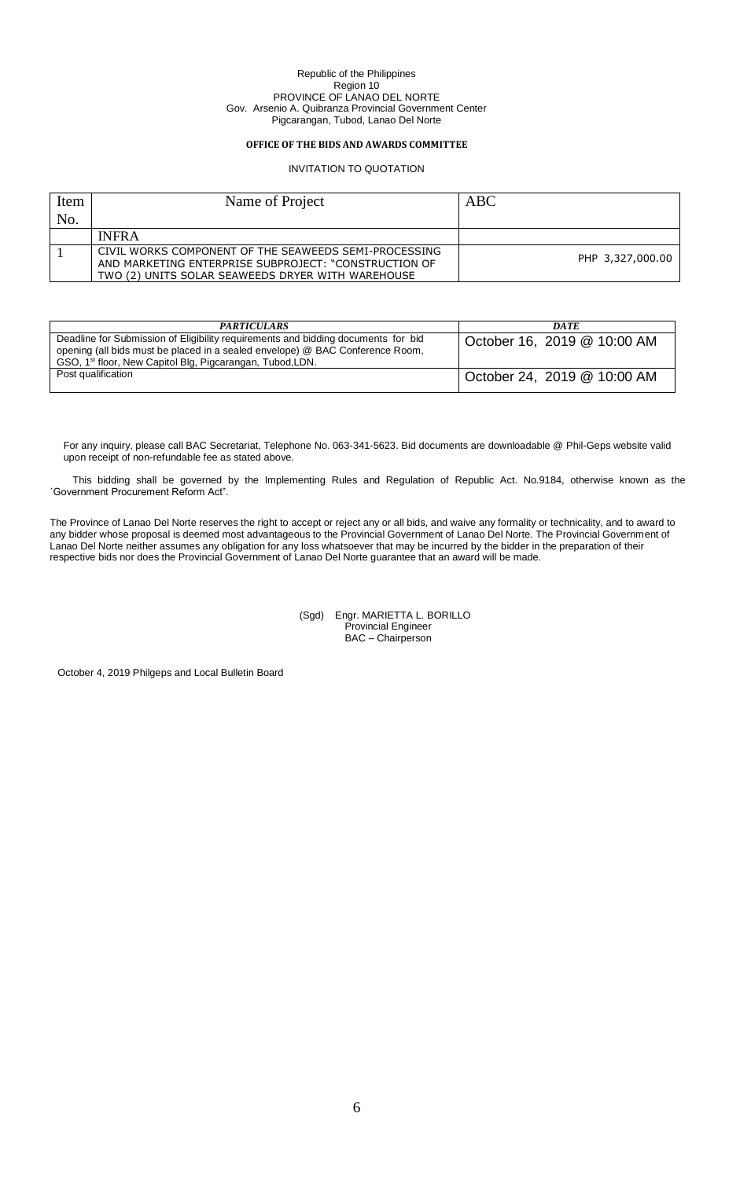## **OFFICE OF THE BIDS AND AWARDS COMMITTEE**

## INVITATION TO QUOTATION

| Item | Name of Project                                                                                                                                                     | ABC              |
|------|---------------------------------------------------------------------------------------------------------------------------------------------------------------------|------------------|
| No.  |                                                                                                                                                                     |                  |
|      | <b>INFRA</b>                                                                                                                                                        |                  |
|      | CIVIL WORKS COMPONENT OF THE SEAWEEDS SEMI-PROCESSING<br>AND MARKETING ENTERPRISE SUBPROJECT: "CONSTRUCTION OF<br>TWO (2) UNITS SOLAR SEAWEEDS DRYER WITH WAREHOUSE | PHP 3,327,000.00 |

| <b>PARTICULARS</b>                                                                                                                                                                                                                          | <b>DATE</b>                 |
|---------------------------------------------------------------------------------------------------------------------------------------------------------------------------------------------------------------------------------------------|-----------------------------|
| Deadline for Submission of Eligibility requirements and bidding documents for bid<br>opening (all bids must be placed in a sealed envelope) @ BAC Conference Room,<br>GSO, 1 <sup>st</sup> floor, New Capitol Blg, Pigcarangan, Tubod, LDN. | October 16, 2019 @ 10:00 AM |
| Post qualification                                                                                                                                                                                                                          | October 24, 2019 @ 10:00 AM |

For any inquiry, please call BAC Secretariat, Telephone No. 063-341-5623. Bid documents are downloadable @ Phil-Geps website valid upon receipt of non-refundable fee as stated above.

This bidding shall be governed by the Implementing Rules and Regulation of Republic Act. No.9184, otherwise known as the ´Government Procurement Reform Act".

The Province of Lanao Del Norte reserves the right to accept or reject any or all bids, and waive any formality or technicality, and to award to any bidder whose proposal is deemed most advantageous to the Provincial Government of Lanao Del Norte. The Provincial Government of Lanao Del Norte neither assumes any obligation for any loss whatsoever that may be incurred by the bidder in the preparation of their respective bids nor does the Provincial Government of Lanao Del Norte guarantee that an award will be made.

> (Sgd) Engr. MARIETTA L. BORILLO Provincial Engineer BAC – Chairperson

October 4, 2019 Philgeps and Local Bulletin Board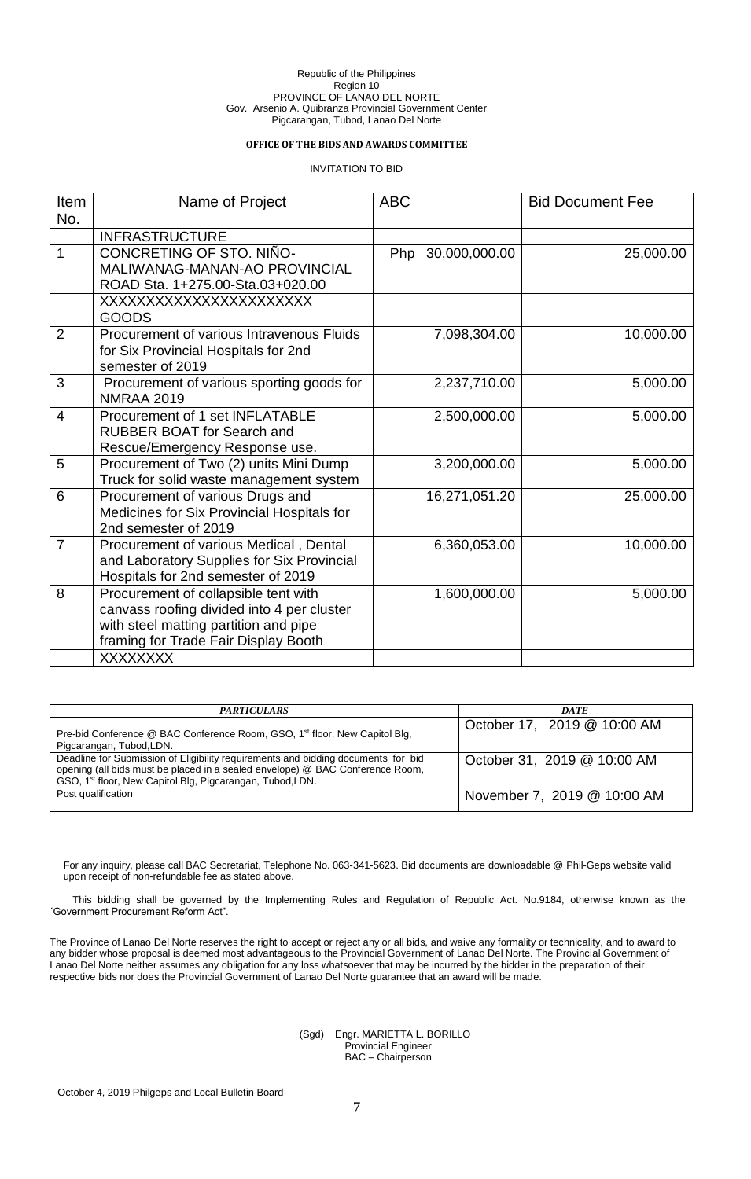## **OFFICE OF THE BIDS AND AWARDS COMMITTEE**

INVITATION TO BID

| Item           | Name of Project                                                          | <b>ABC</b>        | <b>Bid Document Fee</b> |
|----------------|--------------------------------------------------------------------------|-------------------|-------------------------|
| No.            |                                                                          |                   |                         |
|                | <b>INFRASTRUCTURE</b>                                                    |                   |                         |
| $\mathbf{1}$   | CONCRETING OF STO. NIÑO-                                                 | Php 30,000,000.00 | 25,000.00               |
|                | MALIWANAG-MANAN-AO PROVINCIAL                                            |                   |                         |
|                | ROAD Sta. 1+275.00-Sta.03+020.00                                         |                   |                         |
|                | XXXXXXXXXXXXXXXXXXXXXXX                                                  |                   |                         |
|                | <b>GOODS</b>                                                             |                   |                         |
| $\overline{2}$ | Procurement of various Intravenous Fluids                                | 7,098,304.00      | 10,000.00               |
|                | for Six Provincial Hospitals for 2nd                                     |                   |                         |
|                | semester of 2019                                                         |                   |                         |
| 3              | Procurement of various sporting goods for                                | 2,237,710.00      | 5,000.00                |
|                | <b>NMRAA 2019</b>                                                        |                   |                         |
| 4              | Procurement of 1 set INFLATABLE                                          | 2,500,000.00      | 5,000.00                |
|                | <b>RUBBER BOAT for Search and</b>                                        |                   |                         |
| 5              | Rescue/Emergency Response use.<br>Procurement of Two (2) units Mini Dump | 3,200,000.00      | 5,000.00                |
|                | Truck for solid waste management system                                  |                   |                         |
| 6              | Procurement of various Drugs and                                         | 16,271,051.20     | 25,000.00               |
|                | Medicines for Six Provincial Hospitals for                               |                   |                         |
|                | 2nd semester of 2019                                                     |                   |                         |
| $\overline{7}$ | Procurement of various Medical, Dental                                   | 6,360,053.00      | 10,000.00               |
|                | and Laboratory Supplies for Six Provincial                               |                   |                         |
|                | Hospitals for 2nd semester of 2019                                       |                   |                         |
| 8              | Procurement of collapsible tent with                                     | 1,600,000.00      | 5,000.00                |
|                | canvass roofing divided into 4 per cluster                               |                   |                         |
|                | with steel matting partition and pipe                                    |                   |                         |
|                | framing for Trade Fair Display Booth                                     |                   |                         |
|                | <b>XXXXXXXX</b>                                                          |                   |                         |

| <b>PARTICULARS</b>                                                                                                                                                                                                                          | <b>DATE</b>                 |
|---------------------------------------------------------------------------------------------------------------------------------------------------------------------------------------------------------------------------------------------|-----------------------------|
| Pre-bid Conference @ BAC Conference Room, GSO, 1 <sup>st</sup> floor, New Capitol Blg,<br>Pigcarangan, Tubod, LDN.                                                                                                                          | October 17, 2019 @ 10:00 AM |
| Deadline for Submission of Eligibility requirements and bidding documents for bid<br>opening (all bids must be placed in a sealed envelope) @ BAC Conference Room,<br>GSO, 1 <sup>st</sup> floor, New Capitol Blg, Pigcarangan, Tubod, LDN. | October 31, 2019 @ 10:00 AM |
| Post qualification                                                                                                                                                                                                                          | November 7, 2019 @ 10:00 AM |

For any inquiry, please call BAC Secretariat, Telephone No. 063-341-5623. Bid documents are downloadable @ Phil-Geps website valid upon receipt of non-refundable fee as stated above.

This bidding shall be governed by the Implementing Rules and Regulation of Republic Act. No.9184, otherwise known as the ´Government Procurement Reform Act".

The Province of Lanao Del Norte reserves the right to accept or reject any or all bids, and waive any formality or technicality, and to award to any bidder whose proposal is deemed most advantageous to the Provincial Government of Lanao Del Norte. The Provincial Government of Lanao Del Norte neither assumes any obligation for any loss whatsoever that may be incurred by the bidder in the preparation of their respective bids nor does the Provincial Government of Lanao Del Norte guarantee that an award will be made.

> (Sgd) Engr. MARIETTA L. BORILLO Provincial Engineer BAC – Chairperson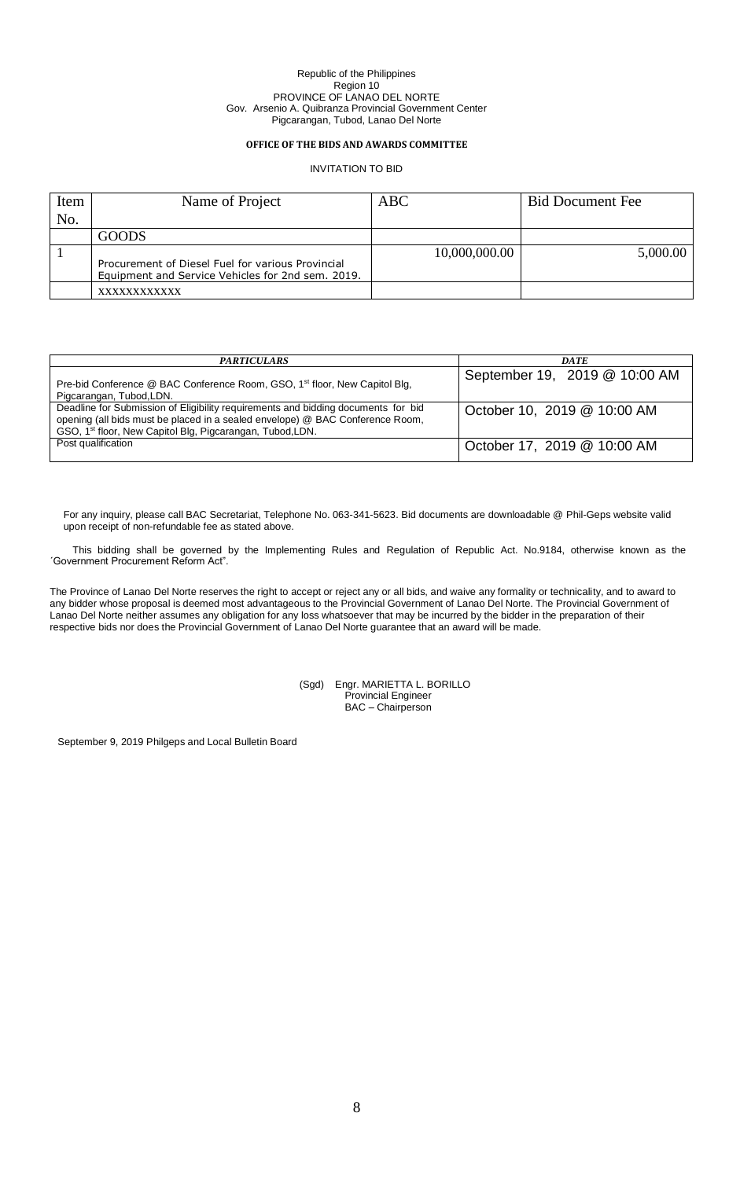## **OFFICE OF THE BIDS AND AWARDS COMMITTEE**

INVITATION TO BID

| Item | Name of Project                                                                                        | <b>ABC</b>    | <b>Bid Document Fee</b> |
|------|--------------------------------------------------------------------------------------------------------|---------------|-------------------------|
| No.  |                                                                                                        |               |                         |
|      | <b>GOODS</b>                                                                                           |               |                         |
|      | Procurement of Diesel Fuel for various Provincial<br>Equipment and Service Vehicles for 2nd sem. 2019. | 10,000,000.00 | 5,000.00                |
|      | XXXXXXXXXXXX                                                                                           |               |                         |

| <b>PARTICULARS</b>                                                                                                                                                                                                                          | DATE                          |
|---------------------------------------------------------------------------------------------------------------------------------------------------------------------------------------------------------------------------------------------|-------------------------------|
| Pre-bid Conference @ BAC Conference Room, GSO, 1 <sup>st</sup> floor, New Capitol Blg,<br>Pigcarangan, Tubod, LDN.                                                                                                                          | September 19, 2019 @ 10:00 AM |
| Deadline for Submission of Eligibility requirements and bidding documents for bid<br>opening (all bids must be placed in a sealed envelope) @ BAC Conference Room,<br>GSO, 1 <sup>st</sup> floor, New Capitol Blg, Pigcarangan, Tubod, LDN. | October 10, 2019 @ 10:00 AM   |
| Post qualification                                                                                                                                                                                                                          | October 17, 2019 @ 10:00 AM   |

For any inquiry, please call BAC Secretariat, Telephone No. 063-341-5623. Bid documents are downloadable @ Phil-Geps website valid upon receipt of non-refundable fee as stated above.

This bidding shall be governed by the Implementing Rules and Regulation of Republic Act. No.9184, otherwise known as the ´Government Procurement Reform Act".

The Province of Lanao Del Norte reserves the right to accept or reject any or all bids, and waive any formality or technicality, and to award to any bidder whose proposal is deemed most advantageous to the Provincial Government of Lanao Del Norte. The Provincial Government of Lanao Del Norte neither assumes any obligation for any loss whatsoever that may be incurred by the bidder in the preparation of their respective bids nor does the Provincial Government of Lanao Del Norte guarantee that an award will be made.

> (Sgd) Engr. MARIETTA L. BORILLO Provincial Engineer BAC – Chairperson

September 9, 2019 Philgeps and Local Bulletin Board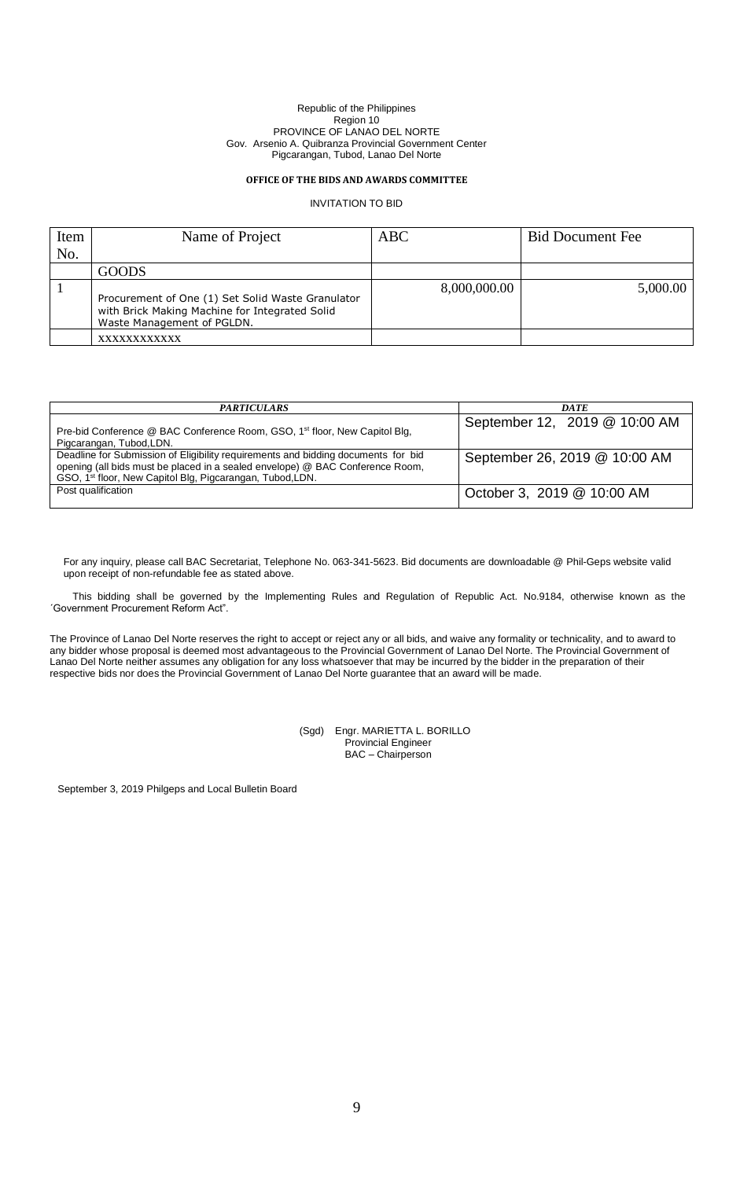### **OFFICE OF THE BIDS AND AWARDS COMMITTEE**

## INVITATION TO BID

| Item | Name of Project                                                                                                                   | <b>ABC</b>   | <b>Bid Document Fee</b> |
|------|-----------------------------------------------------------------------------------------------------------------------------------|--------------|-------------------------|
| No.  |                                                                                                                                   |              |                         |
|      | <b>GOODS</b>                                                                                                                      |              |                         |
|      | Procurement of One (1) Set Solid Waste Granulator<br>with Brick Making Machine for Integrated Solid<br>Waste Management of PGLDN. | 8,000,000.00 | 5,000.00                |
|      | XXXXXXXXXXX                                                                                                                       |              |                         |

| <b>PARTICULARS</b>                                                                                                                                                                                                                          | <b>DATE</b>                   |
|---------------------------------------------------------------------------------------------------------------------------------------------------------------------------------------------------------------------------------------------|-------------------------------|
| Pre-bid Conference @ BAC Conference Room, GSO, 1 <sup>st</sup> floor, New Capitol Blg,<br>Pigcarangan, Tubod, LDN.                                                                                                                          | September 12, 2019 @ 10:00 AM |
| Deadline for Submission of Eligibility requirements and bidding documents for bid<br>opening (all bids must be placed in a sealed envelope) @ BAC Conference Room,<br>GSO, 1 <sup>st</sup> floor, New Capitol Blg, Pigcarangan, Tubod, LDN. | September 26, 2019 @ 10:00 AM |
| Post qualification                                                                                                                                                                                                                          | October 3, 2019 @ 10:00 AM    |

For any inquiry, please call BAC Secretariat, Telephone No. 063-341-5623. Bid documents are downloadable @ Phil-Geps website valid upon receipt of non-refundable fee as stated above.

This bidding shall be governed by the Implementing Rules and Regulation of Republic Act. No.9184, otherwise known as the ´Government Procurement Reform Act".

The Province of Lanao Del Norte reserves the right to accept or reject any or all bids, and waive any formality or technicality, and to award to any bidder whose proposal is deemed most advantageous to the Provincial Government of Lanao Del Norte. The Provincial Government of Lanao Del Norte neither assumes any obligation for any loss whatsoever that may be incurred by the bidder in the preparation of their respective bids nor does the Provincial Government of Lanao Del Norte guarantee that an award will be made.

> (Sgd) Engr. MARIETTA L. BORILLO Provincial Engineer BAC – Chairperson

September 3, 2019 Philgeps and Local Bulletin Board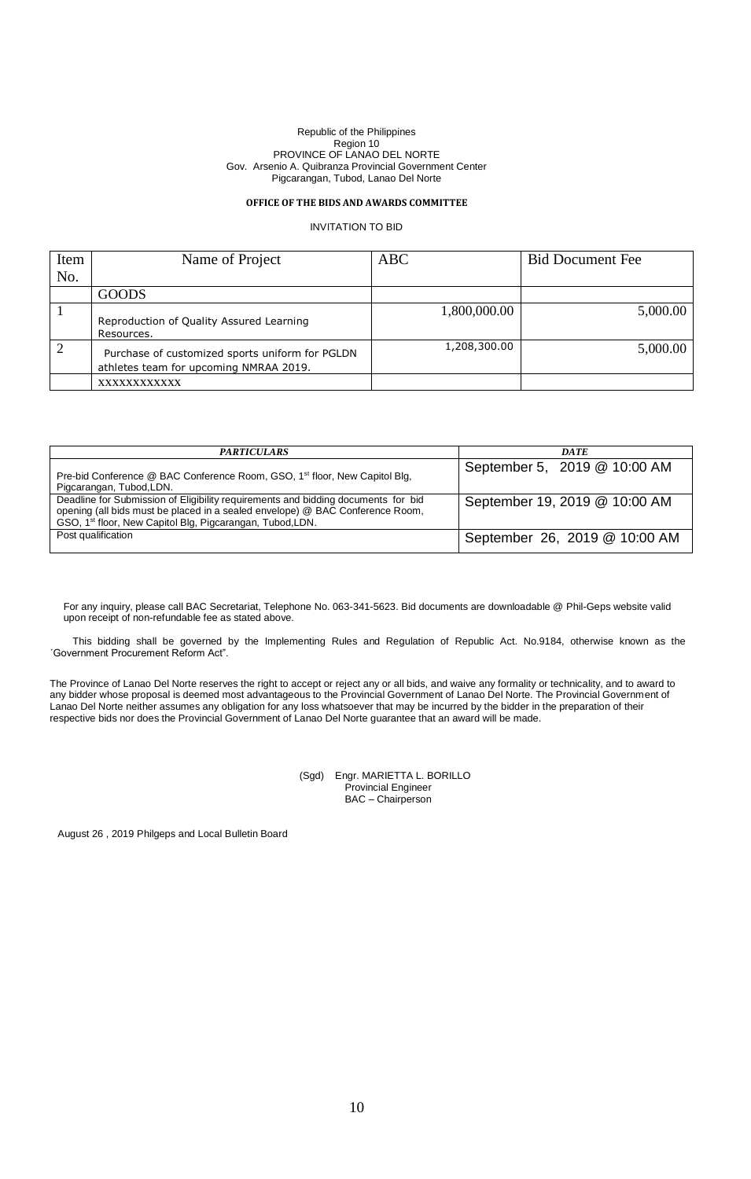# **OFFICE OF THE BIDS AND AWARDS COMMITTEE**

### INVITATION TO BID

| Item | Name of Project                                                                           | <b>ABC</b>   | <b>Bid Document Fee</b> |
|------|-------------------------------------------------------------------------------------------|--------------|-------------------------|
| No.  |                                                                                           |              |                         |
|      | <b>GOODS</b>                                                                              |              |                         |
|      | Reproduction of Quality Assured Learning<br>Resources.                                    | 1,800,000.00 | 5,000.00                |
|      | Purchase of customized sports uniform for PGLDN<br>athletes team for upcoming NMRAA 2019. | 1,208,300.00 | 5,000.00                |
|      | XXXXXXXXXXXX                                                                              |              |                         |

| <b>PARTICULARS</b>                                                                                                                                                                                                                          | DATE                          |
|---------------------------------------------------------------------------------------------------------------------------------------------------------------------------------------------------------------------------------------------|-------------------------------|
| Pre-bid Conference @ BAC Conference Room, GSO, 1 <sup>st</sup> floor, New Capitol Blg,<br>Pigcarangan, Tubod, LDN.                                                                                                                          | September 5, 2019 @ 10:00 AM  |
| Deadline for Submission of Eligibility requirements and bidding documents for bid<br>opening (all bids must be placed in a sealed envelope) @ BAC Conference Room,<br>GSO, 1 <sup>st</sup> floor, New Capitol Blg, Pigcarangan, Tubod, LDN. | September 19, 2019 @ 10:00 AM |
| Post qualification                                                                                                                                                                                                                          | September 26, 2019 @ 10:00 AM |

For any inquiry, please call BAC Secretariat, Telephone No. 063-341-5623. Bid documents are downloadable @ Phil-Geps website valid upon receipt of non-refundable fee as stated above.

This bidding shall be governed by the Implementing Rules and Regulation of Republic Act. No.9184, otherwise known as the ´Government Procurement Reform Act".

The Province of Lanao Del Norte reserves the right to accept or reject any or all bids, and waive any formality or technicality, and to award to any bidder whose proposal is deemed most advantageous to the Provincial Government of Lanao Del Norte. The Provincial Government of Lanao Del Norte neither assumes any obligation for any loss whatsoever that may be incurred by the bidder in the preparation of their respective bids nor does the Provincial Government of Lanao Del Norte guarantee that an award will be made.

> (Sgd) Engr. MARIETTA L. BORILLO Provincial Engineer BAC – Chairperson

August 26 , 2019 Philgeps and Local Bulletin Board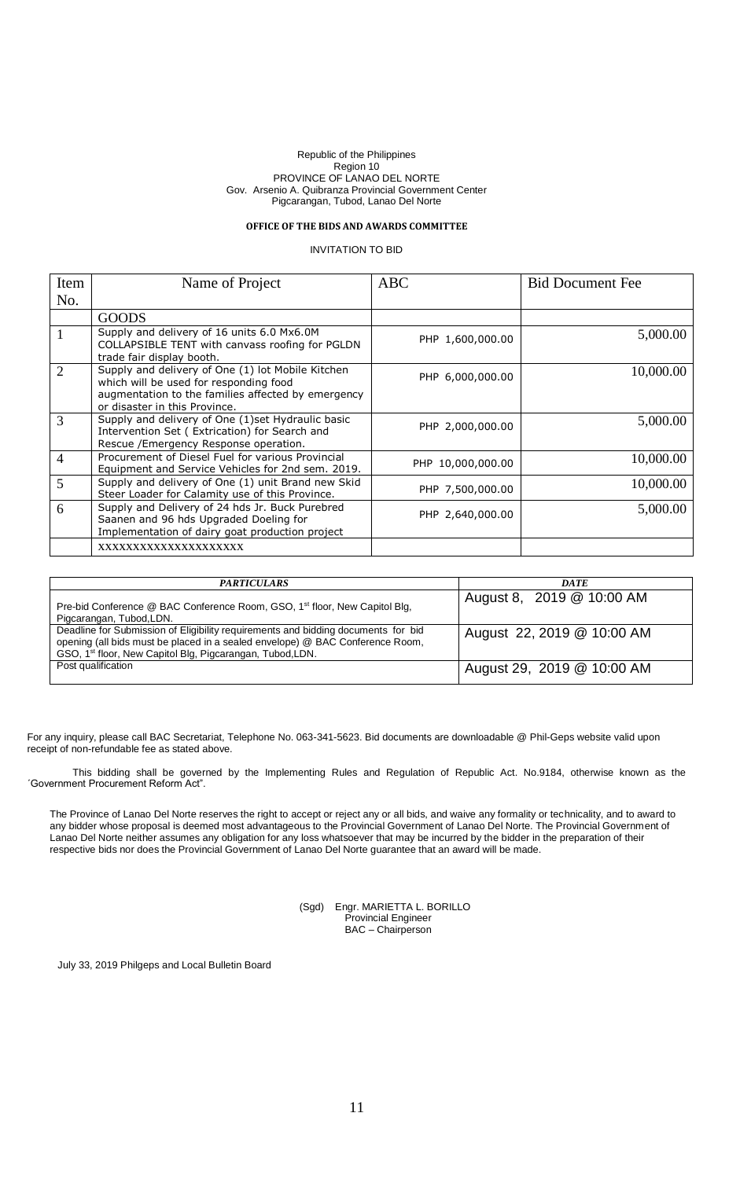# **OFFICE OF THE BIDS AND AWARDS COMMITTEE**

# INVITATION TO BID

| Item           | Name of Project                                                                                                                                                                    | <b>ABC</b>        | <b>Bid Document Fee</b> |
|----------------|------------------------------------------------------------------------------------------------------------------------------------------------------------------------------------|-------------------|-------------------------|
| No.            |                                                                                                                                                                                    |                   |                         |
|                | <b>GOODS</b>                                                                                                                                                                       |                   |                         |
|                | Supply and delivery of 16 units 6.0 Mx6.0M<br>COLLAPSIBLE TENT with canvass roofing for PGLDN<br>trade fair display booth.                                                         | PHP 1,600,000.00  | 5,000.00                |
| 2              | Supply and delivery of One (1) lot Mobile Kitchen<br>which will be used for responding food<br>augmentation to the families affected by emergency<br>or disaster in this Province. | PHP 6,000,000.00  | 10,000.00               |
| 3              | Supply and delivery of One (1) set Hydraulic basic<br>Intervention Set (Extrication) for Search and<br>Rescue / Emergency Response operation.                                      | PHP 2,000,000.00  | 5,000.00                |
| $\overline{4}$ | Procurement of Diesel Fuel for various Provincial<br>Equipment and Service Vehicles for 2nd sem. 2019.                                                                             | PHP 10,000,000.00 | 10,000.00               |
| 5              | Supply and delivery of One (1) unit Brand new Skid<br>Steer Loader for Calamity use of this Province.                                                                              | PHP 7,500,000.00  | 10,000.00               |
| 6              | Supply and Delivery of 24 hds Jr. Buck Purebred<br>Saanen and 96 hds Upgraded Doeling for<br>Implementation of dairy goat production project                                       | PHP 2,640,000.00  | 5,000.00                |
|                | XXXXXXXXXXXXXXXXXXXX                                                                                                                                                               |                   |                         |

| <b>PARTICULARS</b>                                                                                                                                                                                                                          | <b>DATE</b>                |
|---------------------------------------------------------------------------------------------------------------------------------------------------------------------------------------------------------------------------------------------|----------------------------|
| Pre-bid Conference @ BAC Conference Room, GSO, 1 <sup>st</sup> floor, New Capitol Blg,<br>Pigcarangan, Tubod, LDN.                                                                                                                          | August 8, 2019 @ 10:00 AM  |
| Deadline for Submission of Eligibility requirements and bidding documents for bid<br>opening (all bids must be placed in a sealed envelope) @ BAC Conference Room,<br>GSO, 1 <sup>st</sup> floor, New Capitol Blg, Pigcarangan, Tubod, LDN. | August 22, 2019 @ 10:00 AM |
| Post qualification                                                                                                                                                                                                                          | August 29, 2019 @ 10:00 AM |

For any inquiry, please call BAC Secretariat, Telephone No. 063-341-5623. Bid documents are downloadable @ Phil-Geps website valid upon receipt of non-refundable fee as stated above.

This bidding shall be governed by the Implementing Rules and Regulation of Republic Act. No.9184, otherwise known as the ´Government Procurement Reform Act".

The Province of Lanao Del Norte reserves the right to accept or reject any or all bids, and waive any formality or technicality, and to award to any bidder whose proposal is deemed most advantageous to the Provincial Government of Lanao Del Norte. The Provincial Government of Lanao Del Norte neither assumes any obligation for any loss whatsoever that may be incurred by the bidder in the preparation of their respective bids nor does the Provincial Government of Lanao Del Norte guarantee that an award will be made.

> (Sgd) Engr. MARIETTA L. BORILLO Provincial Engineer BAC – Chairperson

July 33, 2019 Philgeps and Local Bulletin Board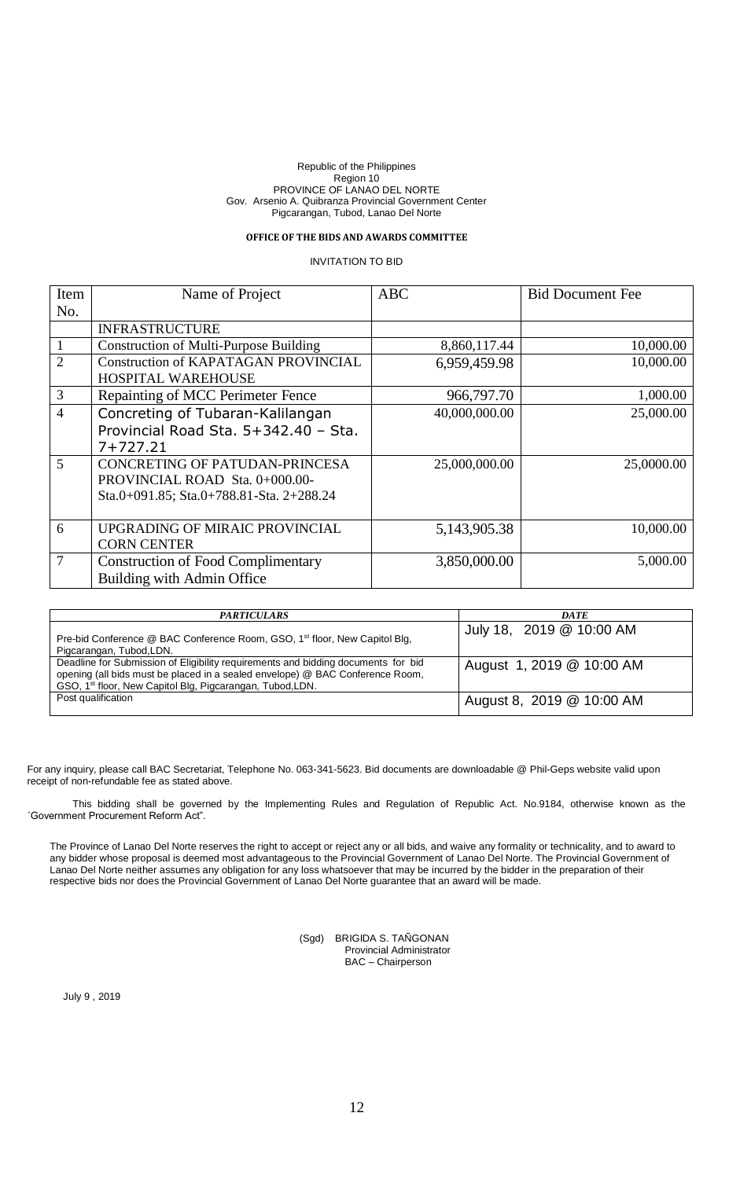## **OFFICE OF THE BIDS AND AWARDS COMMITTEE**

# INVITATION TO BID

| Item           | Name of Project                                                                                              | <b>ABC</b>    | <b>Bid Document Fee</b> |
|----------------|--------------------------------------------------------------------------------------------------------------|---------------|-------------------------|
| No.            |                                                                                                              |               |                         |
|                | <b>INFRASTRUCTURE</b>                                                                                        |               |                         |
|                | <b>Construction of Multi-Purpose Building</b>                                                                | 8,860,117.44  | 10,000.00               |
| $\overline{2}$ | <b>Construction of KAPATAGAN PROVINCIAL</b><br><b>HOSPITAL WAREHOUSE</b>                                     | 6,959,459.98  | 10,000.00               |
| $\overline{3}$ | Repainting of MCC Perimeter Fence                                                                            | 966,797.70    | 1,000.00                |
| $\overline{4}$ | Concreting of Tubaran-Kalilangan<br>Provincial Road Sta. 5+342.40 - Sta.<br>$7 + 727.21$                     | 40,000,000.00 | 25,000.00               |
| $\overline{5}$ | CONCRETING OF PATUDAN-PRINCESA<br>PROVINCIAL ROAD Sta. 0+000.00-<br>Sta.0+091.85; Sta.0+788.81-Sta. 2+288.24 | 25,000,000.00 | 25,0000.00              |
| 6              | UPGRADING OF MIRAIC PROVINCIAL<br><b>CORN CENTER</b>                                                         | 5,143,905.38  | 10,000.00               |
| $\overline{7}$ | <b>Construction of Food Complimentary</b><br><b>Building with Admin Office</b>                               | 3,850,000.00  | 5,000.00                |

| <b>PARTICULARS</b>                                                                                                                                                                                                                          | <b>DATE</b>               |
|---------------------------------------------------------------------------------------------------------------------------------------------------------------------------------------------------------------------------------------------|---------------------------|
| Pre-bid Conference @ BAC Conference Room, GSO, 1 <sup>st</sup> floor, New Capitol Blg,<br>Pigcarangan, Tubod, LDN.                                                                                                                          | July 18, 2019 @ 10:00 AM  |
| Deadline for Submission of Eligibility requirements and bidding documents for bid<br>opening (all bids must be placed in a sealed envelope) @ BAC Conference Room,<br>GSO, 1 <sup>st</sup> floor, New Capitol Blg, Pigcarangan, Tubod, LDN. | August 1, 2019 @ 10:00 AM |
| Post qualification                                                                                                                                                                                                                          | August 8, 2019 @ 10:00 AM |

For any inquiry, please call BAC Secretariat, Telephone No. 063-341-5623. Bid documents are downloadable @ Phil-Geps website valid upon receipt of non-refundable fee as stated above.

This bidding shall be governed by the Implementing Rules and Regulation of Republic Act. No.9184, otherwise known as the ´Government Procurement Reform Act".

The Province of Lanao Del Norte reserves the right to accept or reject any or all bids, and waive any formality or technicality, and to award to any bidder whose proposal is deemed most advantageous to the Provincial Government of Lanao Del Norte. The Provincial Government of Lanao Del Norte neither assumes any obligation for any loss whatsoever that may be incurred by the bidder in the preparation of their respective bids nor does the Provincial Government of Lanao Del Norte guarantee that an award will be made.

> (Sgd) BRIGIDA S. TAÑGONAN Provincial Administrator BAC – Chairperson

July 9 , 2019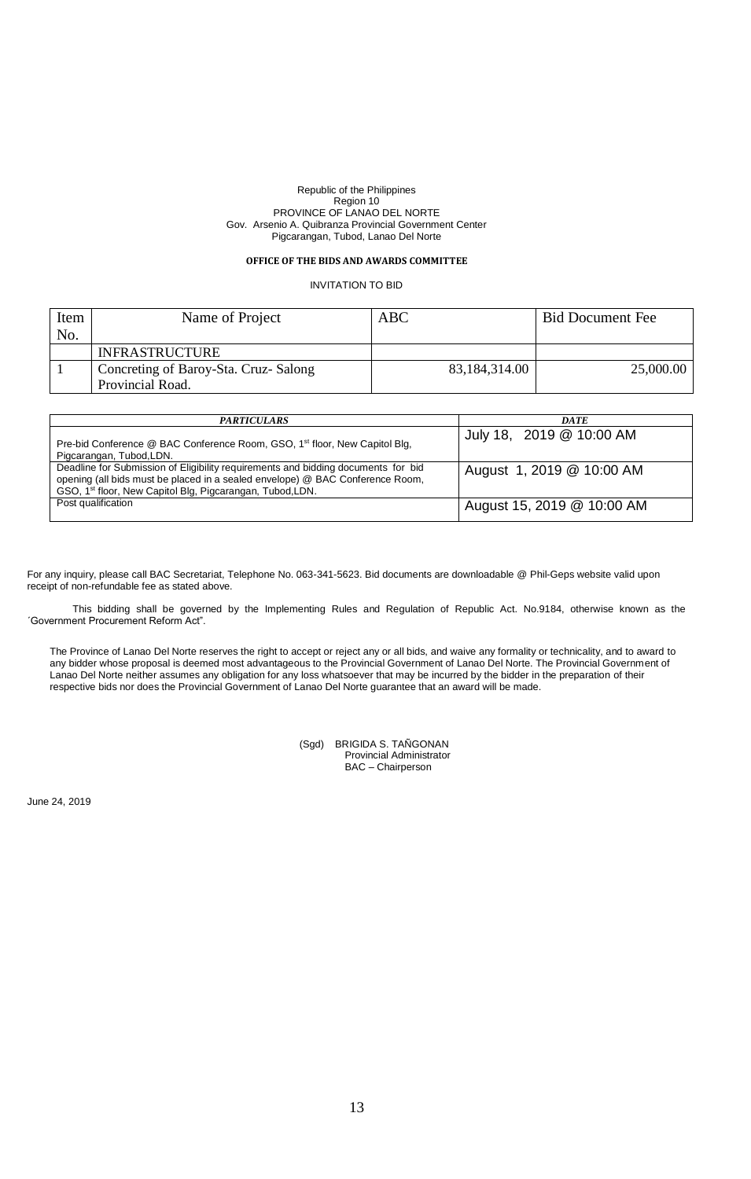### **OFFICEOF THE BIDS AND AWARDS COMMITTEE**

# INVITATION TO BID

| Item | Name of Project                      | ABC           | <b>Bid Document Fee</b> |
|------|--------------------------------------|---------------|-------------------------|
| No.  |                                      |               |                         |
|      | <b>INFRASTRUCTURE</b>                |               |                         |
|      | Concreting of Baroy-Sta. Cruz-Salong | 83,184,314.00 | 25,000.00               |
|      | Provincial Road.                     |               |                         |

| <b>PARTICULARS</b>                                                                                                                                                                                                                          | <b>DATE</b>                |
|---------------------------------------------------------------------------------------------------------------------------------------------------------------------------------------------------------------------------------------------|----------------------------|
| Pre-bid Conference @ BAC Conference Room, GSO, 1 <sup>st</sup> floor, New Capitol Blg,<br>Pigcarangan, Tubod, LDN.                                                                                                                          | July 18, 2019 @ 10:00 AM   |
| Deadline for Submission of Eligibility requirements and bidding documents for bid<br>opening (all bids must be placed in a sealed envelope) @ BAC Conference Room,<br>GSO, 1 <sup>st</sup> floor, New Capitol Blg, Pigcarangan, Tubod, LDN. | August 1, 2019 @ 10:00 AM  |
| Post qualification                                                                                                                                                                                                                          | August 15, 2019 @ 10:00 AM |

For any inquiry, please call BAC Secretariat, Telephone No. 063-341-5623. Bid documents are downloadable @ Phil-Geps website valid upon receipt of non-refundable fee as stated above.

This bidding shall be governed by the Implementing Rules and Regulation of Republic Act. No.9184, otherwise known as the ´Government Procurement Reform Act".

The Province of Lanao Del Norte reserves the right to accept or reject any or all bids, and waive any formality or technicality, and to award to any bidder whose proposal is deemed most advantageous to the Provincial Government of Lanao Del Norte. The Provincial Government of Lanao Del Norte neither assumes any obligation for any loss whatsoever that may be incurred by the bidder in the preparation of their respective bids nor does the Provincial Government of Lanao Del Norte guarantee that an award will be made.

| (Sqd) | BRIGIDA S. TAÑGONAN      |
|-------|--------------------------|
|       | Provincial Administrator |
|       | BAC - Chairperson        |

June 24, 2019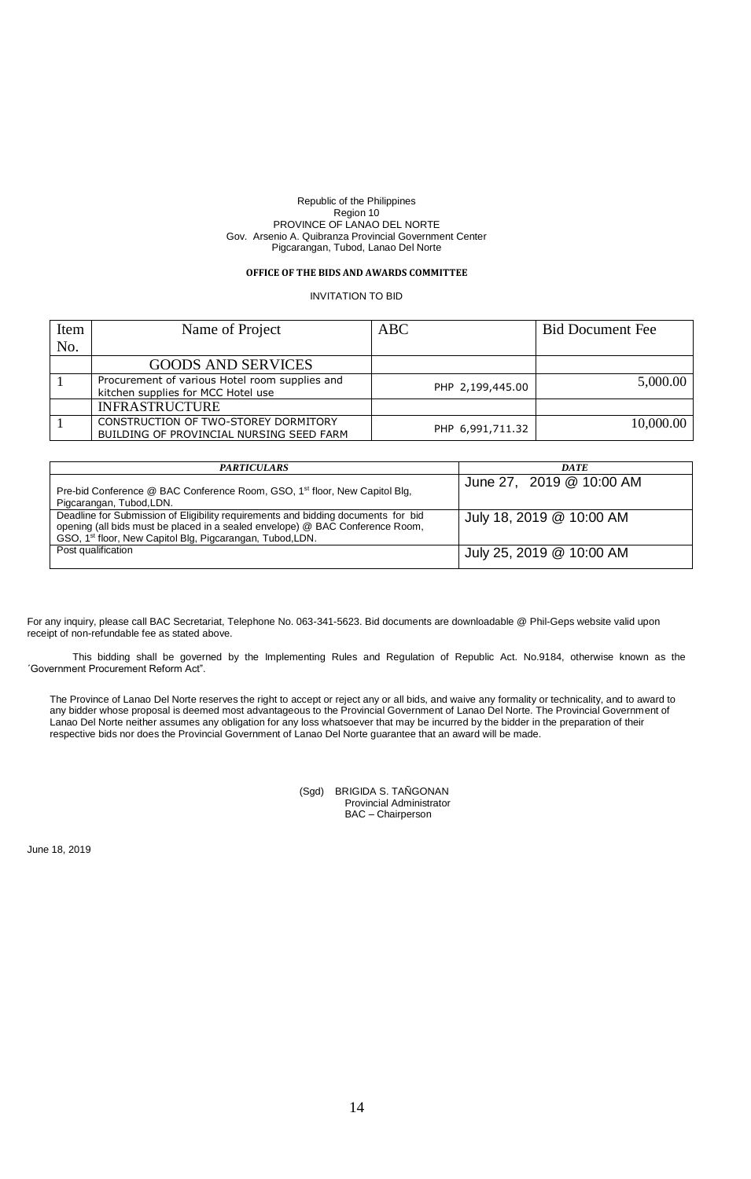# **OFFICE OF THE BIDS AND AWARDS COMMITTEE**

INVITATION TO BID

| Item | Name of Project                                                                      | ABC              | <b>Bid Document Fee</b> |
|------|--------------------------------------------------------------------------------------|------------------|-------------------------|
| No.  |                                                                                      |                  |                         |
|      | <b>GOODS AND SERVICES</b>                                                            |                  |                         |
|      | Procurement of various Hotel room supplies and<br>kitchen supplies for MCC Hotel use | PHP 2,199,445.00 | 5,000.00                |
|      | <b>INFRASTRUCTURE</b>                                                                |                  |                         |
|      | CONSTRUCTION OF TWO-STOREY DORMITORY<br>BUILDING OF PROVINCIAL NURSING SEED FARM     | PHP 6,991,711.32 | 10,000.00               |

| <b>PARTICULARS</b>                                                                                                                                                                                                                          | <b>DATE</b>              |
|---------------------------------------------------------------------------------------------------------------------------------------------------------------------------------------------------------------------------------------------|--------------------------|
| Pre-bid Conference @ BAC Conference Room, GSO, 1 <sup>st</sup> floor, New Capitol Blg,<br>Pigcarangan, Tubod, LDN.                                                                                                                          | June 27, 2019 @ 10:00 AM |
| Deadline for Submission of Eligibility requirements and bidding documents for bid<br>opening (all bids must be placed in a sealed envelope) @ BAC Conference Room,<br>GSO, 1 <sup>st</sup> floor, New Capitol Blg, Pigcarangan, Tubod, LDN. | July 18, 2019 @ 10:00 AM |
| Post qualification                                                                                                                                                                                                                          | July 25, 2019 @ 10:00 AM |

For any inquiry, please call BAC Secretariat, Telephone No. 063-341-5623. Bid documents are downloadable @ Phil-Geps website valid upon receipt of non-refundable fee as stated above.

This bidding shall be governed by the Implementing Rules and Regulation of Republic Act. No.9184, otherwise known as the ´Government Procurement Reform Act".

The Province of Lanao Del Norte reserves the right to accept or reject any or all bids, and waive any formality or technicality, and to award to any bidder whose proposal is deemed most advantageous to the Provincial Government of Lanao Del Norte. The Provincial Government of Lanao Del Norte neither assumes any obligation for any loss whatsoever that may be incurred by the bidder in the preparation of their respective bids nor does the Provincial Government of Lanao Del Norte guarantee that an award will be made.

> (Sgd) BRIGIDA S. TAÑGONAN Provincial Administrator BAC – Chairperson

June 18, 2019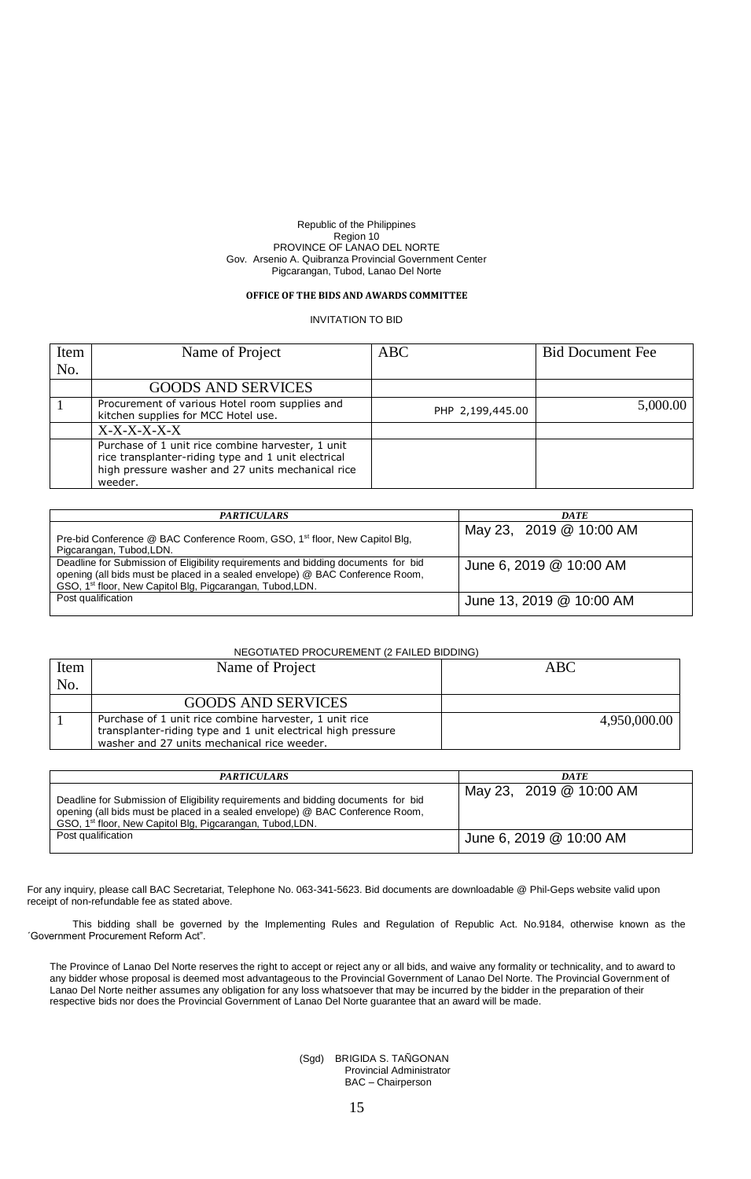## **OFFICE OF THE BIDS AND AWARDS COMMITTEE**

INVITATION TO BID

| Item | Name of Project                                                                                                                                                          | ABC.             | <b>Bid Document Fee</b> |
|------|--------------------------------------------------------------------------------------------------------------------------------------------------------------------------|------------------|-------------------------|
| No.  |                                                                                                                                                                          |                  |                         |
|      | <b>GOODS AND SERVICES</b>                                                                                                                                                |                  |                         |
|      | Procurement of various Hotel room supplies and<br>kitchen supplies for MCC Hotel use.                                                                                    | PHP 2,199,445.00 | 5,000.00                |
|      | $X-X-X-X-X$                                                                                                                                                              |                  |                         |
|      | Purchase of 1 unit rice combine harvester, 1 unit<br>rice transplanter-riding type and 1 unit electrical<br>high pressure washer and 27 units mechanical rice<br>weeder. |                  |                         |

| <b>PARTICULARS</b>                                                                                                                                                                                                                          | <b>DATE</b>              |
|---------------------------------------------------------------------------------------------------------------------------------------------------------------------------------------------------------------------------------------------|--------------------------|
| Pre-bid Conference @ BAC Conference Room, GSO, 1 <sup>st</sup> floor, New Capitol Blg,<br>Pigcarangan, Tubod, LDN.                                                                                                                          | May 23, 2019 @ 10:00 AM  |
| Deadline for Submission of Eligibility requirements and bidding documents for bid<br>opening (all bids must be placed in a sealed envelope) @ BAC Conference Room,<br>GSO, 1 <sup>st</sup> floor, New Capitol Blg, Pigcarangan, Tubod, LDN. | June 6, 2019 @ 10:00 AM  |
| Post qualification                                                                                                                                                                                                                          | June 13, 2019 @ 10:00 AM |

### NEGOTIATED PROCUREMENT (2 FAILED BIDDING)

| Item | Name of Project                                                                                                                                                       | ABC          |
|------|-----------------------------------------------------------------------------------------------------------------------------------------------------------------------|--------------|
| No.  |                                                                                                                                                                       |              |
|      | <b>GOODS AND SERVICES</b>                                                                                                                                             |              |
|      | Purchase of 1 unit rice combine harvester, 1 unit rice<br>transplanter-riding type and 1 unit electrical high pressure<br>washer and 27 units mechanical rice weeder. | 4,950,000.00 |

| <b>PARTICULARS</b>                                                                                                                                                                                                                          | <b>DATE</b>             |
|---------------------------------------------------------------------------------------------------------------------------------------------------------------------------------------------------------------------------------------------|-------------------------|
| Deadline for Submission of Eligibility requirements and bidding documents for bid<br>opening (all bids must be placed in a sealed envelope) @ BAC Conference Room,<br>GSO, 1 <sup>st</sup> floor, New Capitol Blg, Pigcarangan, Tubod, LDN. | May 23, 2019 @ 10:00 AM |
| Post qualification                                                                                                                                                                                                                          | June 6, 2019 @ 10:00 AM |

For any inquiry, please call BAC Secretariat, Telephone No. 063-341-5623. Bid documents are downloadable @ Phil-Geps website valid upon receipt of non-refundable fee as stated above.

This bidding shall be governed by the Implementing Rules and Regulation of Republic Act. No.9184, otherwise known as the ´Government Procurement Reform Act".

The Province of Lanao Del Norte reserves the right to accept or reject any or all bids, and waive any formality or technicality, and to award to any bidder whose proposal is deemed most advantageous to the Provincial Government of Lanao Del Norte. The Provincial Government of Lanao Del Norte neither assumes any obligation for any loss whatsoever that may be incurred by the bidder in the preparation of their respective bids nor does the Provincial Government of Lanao Del Norte guarantee that an award will be made.

> (Sgd) BRIGIDA S. TAÑGONAN Provincial Administrator BAC – Chairperson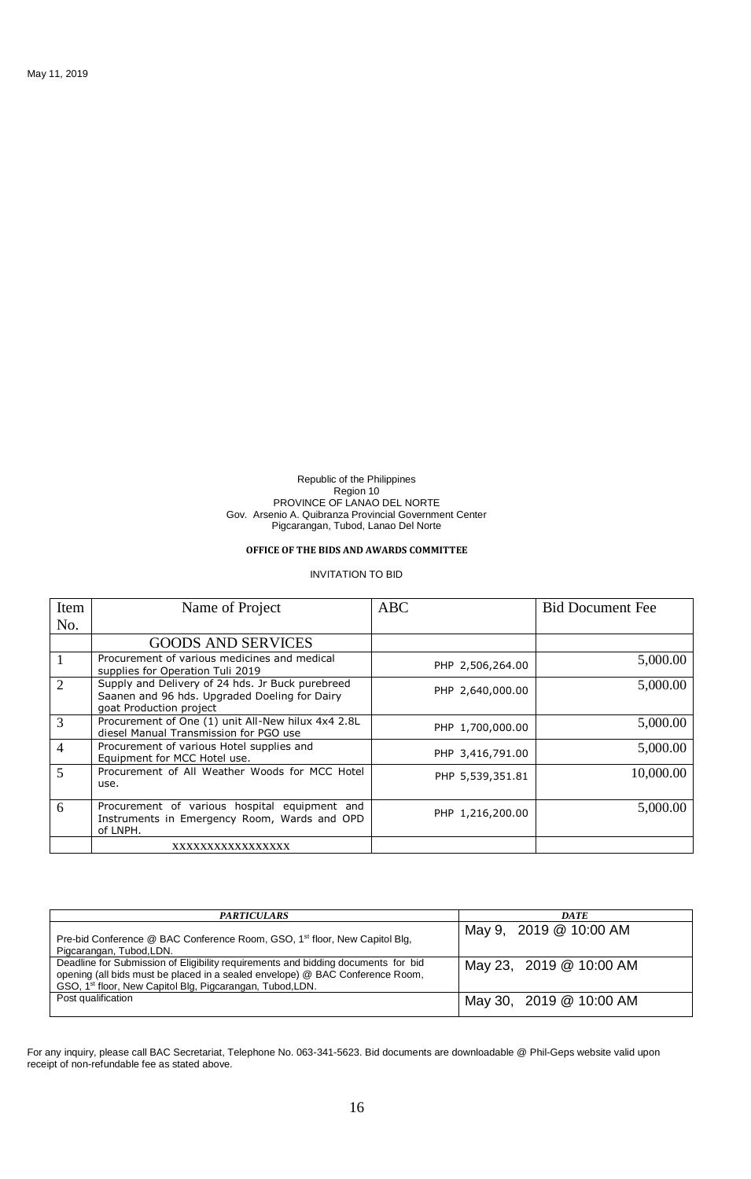### **OFFICE OF THE BIDS AND AWARDS COMMITTEE**

### INVITATION TO BID

| Item           | Name of Project                                                                                                              | <b>ABC</b>       | <b>Bid Document Fee</b> |
|----------------|------------------------------------------------------------------------------------------------------------------------------|------------------|-------------------------|
| No.            |                                                                                                                              |                  |                         |
|                | <b>GOODS AND SERVICES</b>                                                                                                    |                  |                         |
|                | Procurement of various medicines and medical<br>supplies for Operation Tuli 2019                                             | PHP 2,506,264.00 | 5,000.00                |
| $\overline{2}$ | Supply and Delivery of 24 hds. Jr Buck purebreed<br>Saanen and 96 hds. Upgraded Doeling for Dairy<br>goat Production project | PHP 2,640,000.00 | 5,000.00                |
| 3              | Procurement of One (1) unit All-New hilux 4x4 2.8L<br>diesel Manual Transmission for PGO use                                 | PHP 1,700,000.00 | 5,000.00                |
| $\overline{4}$ | Procurement of various Hotel supplies and<br>Equipment for MCC Hotel use.                                                    | PHP 3,416,791.00 | 5,000.00                |
| 5              | Procurement of All Weather Woods for MCC Hotel<br>use.                                                                       | PHP 5,539,351.81 | 10,000.00               |
| 6              | Procurement of various hospital equipment and<br>Instruments in Emergency Room, Wards and OPD<br>of LNPH.                    | PHP 1,216,200.00 | 5,000.00                |
|                | xxxxxxxxxxxxxxxx                                                                                                             |                  |                         |

| <b>PARTICULARS</b>                                                                                                                                                                                                                          | <b>DATE</b>             |
|---------------------------------------------------------------------------------------------------------------------------------------------------------------------------------------------------------------------------------------------|-------------------------|
| Pre-bid Conference @ BAC Conference Room, GSO, 1 <sup>st</sup> floor, New Capitol Blg,<br>Pigcarangan, Tubod, LDN.                                                                                                                          | May 9, 2019 @ 10:00 AM  |
| Deadline for Submission of Eligibility requirements and bidding documents for bid<br>opening (all bids must be placed in a sealed envelope) @ BAC Conference Room,<br>GSO, 1 <sup>st</sup> floor, New Capitol Blg, Pigcarangan, Tubod, LDN. | May 23, 2019 @ 10:00 AM |
| Post qualification                                                                                                                                                                                                                          | May 30, 2019 @ 10:00 AM |

For any inquiry, please call BAC Secretariat, Telephone No. 063-341-5623. Bid documents are downloadable @ Phil-Geps website valid upon receipt of non-refundable fee as stated above.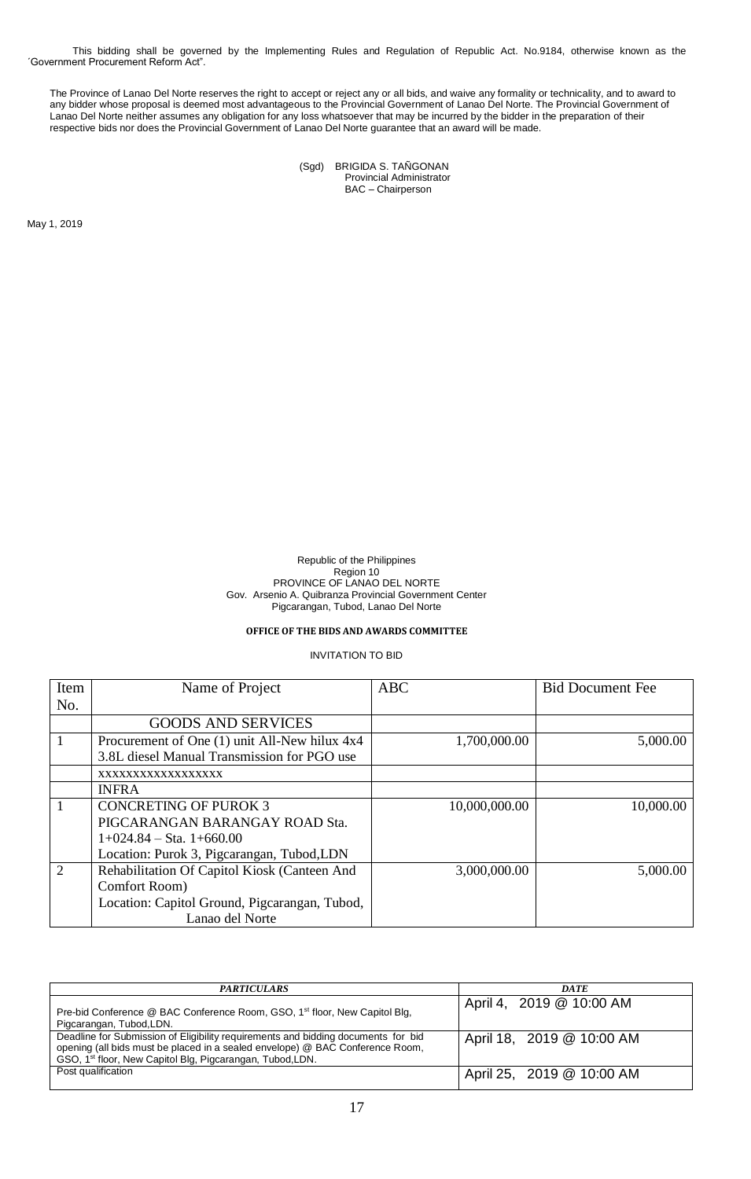This bidding shall be governed by the Implementing Rules and Regulation of Republic Act. No.9184, otherwise known as the ´Government Procurement Reform Act".

The Province of Lanao Del Norte reserves the right to accept or reject any or all bids, and waive any formality or technicality, and to award to any bidder whose proposal is deemed most advantageous to the Provincial Government of Lanao Del Norte. The Provincial Government of Lanao Del Norte neither assumes any obligation for any loss whatsoever that may be incurred by the bidder in the preparation of their respective bids nor does the Provincial Government of Lanao Del Norte guarantee that an award will be made.

> (Sgd) BRIGIDA S. TAÑGONAN Provincial Administrator BAC – Chairperson

May 1, 2019

Republic of the Philippines Region 10 PROVINCE OF LANAO DEL NORTE Gov. Arsenio A. Quibranza Provincial Government Center Pigcarangan, Tubod, Lanao Del Norte

## **OFFICE OF THE BIDS AND AWARDS COMMITTEE**

| Item           | Name of Project                               | <b>ABC</b>    | <b>Bid Document Fee</b> |
|----------------|-----------------------------------------------|---------------|-------------------------|
| No.            |                                               |               |                         |
|                | <b>GOODS AND SERVICES</b>                     |               |                         |
|                | Procurement of One (1) unit All-New hilux 4x4 | 1,700,000.00  | 5,000.00                |
|                | 3.8L diesel Manual Transmission for PGO use   |               |                         |
|                | XXXXXXXXXXXXXXXXX                             |               |                         |
|                | <b>INFRA</b>                                  |               |                         |
|                | <b>CONCRETING OF PUROK 3</b>                  | 10,000,000.00 | 10,000.00               |
|                | PIGCARANGAN BARANGAY ROAD Sta.                |               |                         |
|                | $1+024.84$ – Sta. $1+660.00$                  |               |                         |
|                | Location: Purok 3, Pigcarangan, Tubod, LDN    |               |                         |
| $\overline{2}$ | Rehabilitation Of Capitol Kiosk (Canteen And  | 3,000,000.00  | 5,000.00                |
|                | Comfort Room)                                 |               |                         |
|                | Location: Capitol Ground, Pigcarangan, Tubod, |               |                         |
|                | Lanao del Norte                               |               |                         |

| <b>PARTICULARS</b>                                                                                                                                                                                                                          | <b>DATE</b>               |
|---------------------------------------------------------------------------------------------------------------------------------------------------------------------------------------------------------------------------------------------|---------------------------|
| Pre-bid Conference @ BAC Conference Room, GSO, 1 <sup>st</sup> floor, New Capitol Blg,<br>Pigcarangan, Tubod, LDN.                                                                                                                          | April 4, 2019 @ 10:00 AM  |
| Deadline for Submission of Eligibility requirements and bidding documents for bid<br>opening (all bids must be placed in a sealed envelope) @ BAC Conference Room,<br>GSO, 1 <sup>st</sup> floor, New Capitol Blg, Pigcarangan, Tubod, LDN. | April 18, 2019 @ 10:00 AM |
| Post qualification                                                                                                                                                                                                                          | April 25, 2019 @ 10:00 AM |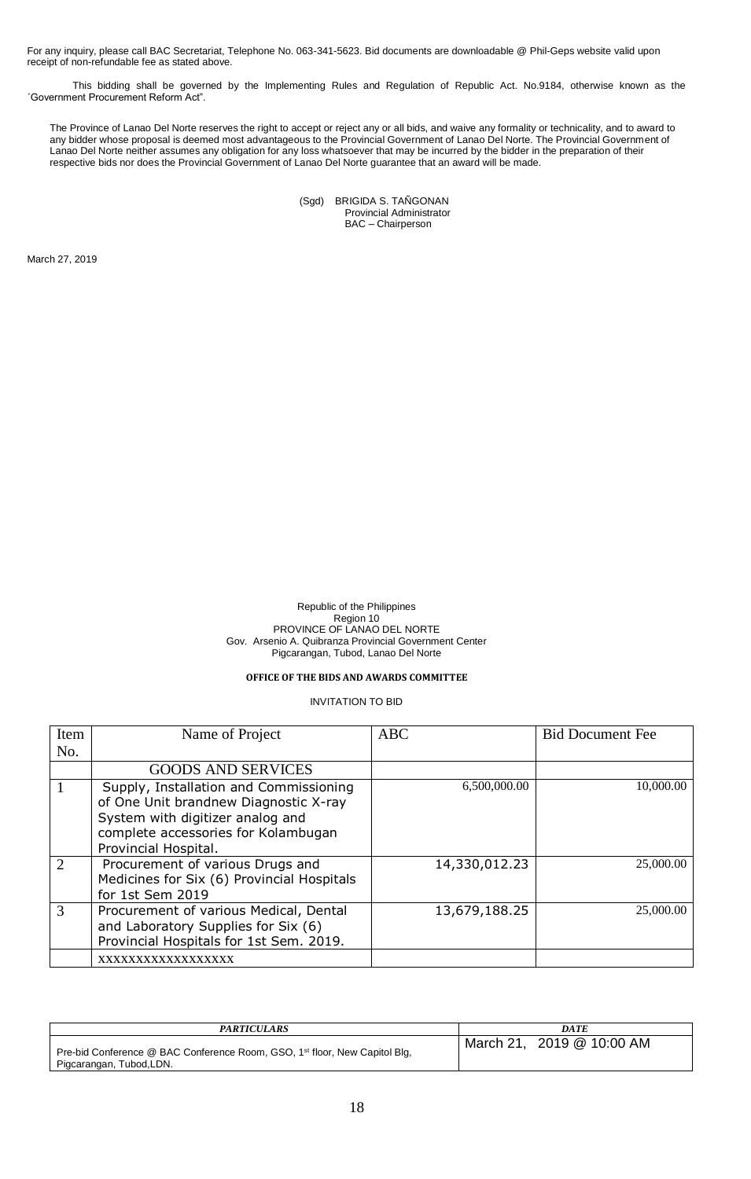This bidding shall be governed by the Implementing Rules and Regulation of Republic Act. No.9184, otherwise known as the ´Government Procurement Reform Act".

The Province of Lanao Del Norte reserves the right to accept or reject any or all bids, and waive any formality or technicality, and to award to any bidder whose proposal is deemed most advantageous to the Provincial Government of Lanao Del Norte. The Provincial Government of Lanao Del Norte neither assumes any obligation for any loss whatsoever that may be incurred by the bidder in the preparation of their respective bids nor does the Provincial Government of Lanao Del Norte guarantee that an award will be made.

| (Sgd) | BRIGIDA S. TAÑGONAN      |
|-------|--------------------------|
|       | Provincial Administrator |
|       | BAC - Chairperson        |

March 27, 2019

Republic of the Philippines Region 10 PROVINCE OF LANAO DEL NORTE Gov. Arsenio A. Quibranza Provincial Government Center Pigcarangan, Tubod, Lanao Del Norte

## **OFFICE OF THE BIDS AND AWARDS COMMITTEE**

| Item          | Name of Project                                                                                                                                                                    | <b>ABC</b>    | <b>Bid Document Fee</b> |
|---------------|------------------------------------------------------------------------------------------------------------------------------------------------------------------------------------|---------------|-------------------------|
| No.           |                                                                                                                                                                                    |               |                         |
|               | <b>GOODS AND SERVICES</b>                                                                                                                                                          |               |                         |
|               | Supply, Installation and Commissioning<br>of One Unit brandnew Diagnostic X-ray<br>System with digitizer analog and<br>complete accessories for Kolambugan<br>Provincial Hospital. | 6,500,000.00  | 10,000.00               |
| $\mathcal{D}$ | Procurement of various Drugs and<br>Medicines for Six (6) Provincial Hospitals<br>for 1st Sem 2019                                                                                 | 14,330,012.23 | 25,000.00               |
| 3             | Procurement of various Medical, Dental<br>and Laboratory Supplies for Six (6)<br>Provincial Hospitals for 1st Sem. 2019.                                                           | 13,679,188.25 | 25,000.00               |
|               | XXXXXXXXXXXXXXXXX                                                                                                                                                                  |               |                         |

| <b>PARTICULARS</b>                                                                                                 | DATE                      |
|--------------------------------------------------------------------------------------------------------------------|---------------------------|
| Pre-bid Conference @ BAC Conference Room, GSO, 1 <sup>st</sup> floor, New Capitol Blg,<br>Pigcarangan, Tubod, LDN. | March 21, 2019 @ 10:00 AM |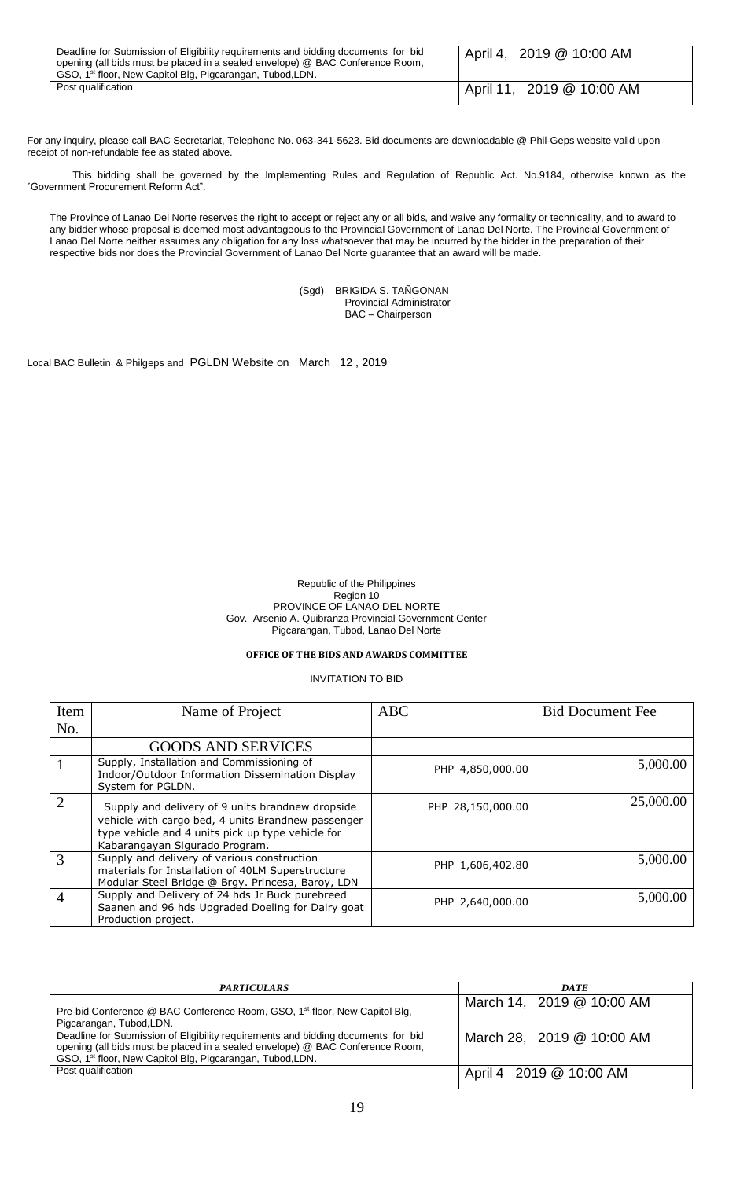| Deadline for Submission of Eligibility requirements and bidding documents for bid<br>opening (all bids must be placed in a sealed envelope) @ BAC Conference Room,<br>GSO, 1 <sup>st</sup> floor, New Capitol Blg, Pigcarangan, Tubod, LDN. | April 4, 2019 @ 10:00 AM  |
|---------------------------------------------------------------------------------------------------------------------------------------------------------------------------------------------------------------------------------------------|---------------------------|
| Post qualification                                                                                                                                                                                                                          | April 11, 2019 @ 10:00 AM |

This bidding shall be governed by the Implementing Rules and Regulation of Republic Act. No.9184, otherwise known as the ´Government Procurement Reform Act".

The Province of Lanao Del Norte reserves the right to accept or reject any or all bids, and waive any formality or technicality, and to award to any bidder whose proposal is deemed most advantageous to the Provincial Government of Lanao Del Norte. The Provincial Government of Lanao Del Norte neither assumes any obligation for any loss whatsoever that may be incurred by the bidder in the preparation of their respective bids nor does the Provincial Government of Lanao Del Norte guarantee that an award will be made.

> (Sgd) BRIGIDA S. TAÑGONAN Provincial Administrator BAC – Chairperson

Local BAC Bulletin & Philgeps and PGLDN Website on March 12 , 2019

### Republic of the Philippines Region 10 PROVINCE OF LANAO DEL NORTE Gov. Arsenio A. Quibranza Provincial Government Center Pigcarangan, Tubod, Lanao Del Norte

# **OFFICE OF THE BIDS AND AWARDS COMMITTEE**

| Item          | Name of Project                                                                                                                                                                               | <b>ABC</b>        | <b>Bid Document Fee</b> |
|---------------|-----------------------------------------------------------------------------------------------------------------------------------------------------------------------------------------------|-------------------|-------------------------|
| No.           |                                                                                                                                                                                               |                   |                         |
|               | <b>GOODS AND SERVICES</b>                                                                                                                                                                     |                   |                         |
|               | Supply, Installation and Commissioning of<br>Indoor/Outdoor Information Dissemination Display<br>System for PGLDN.                                                                            | PHP 4,850,000.00  | 5,000.00                |
| $\mathcal{D}$ | Supply and delivery of 9 units brandnew dropside<br>vehicle with cargo bed, 4 units Brandnew passenger<br>type vehicle and 4 units pick up type vehicle for<br>Kabarangayan Sigurado Program. | PHP 28,150,000.00 | 25,000.00               |
| $\mathcal{R}$ | Supply and delivery of various construction<br>materials for Installation of 40LM Superstructure<br>Modular Steel Bridge @ Brgy. Princesa, Baroy, LDN                                         | PHP 1,606,402.80  | 5,000.00                |
| 4             | Supply and Delivery of 24 hds Jr Buck purebreed<br>Saanen and 96 hds Upgraded Doeling for Dairy goat<br>Production project.                                                                   | PHP 2,640,000.00  | 5,000.00                |

| <b>PARTICULARS</b>                                                                                                                                                                                                                          | <b>DATE</b>               |
|---------------------------------------------------------------------------------------------------------------------------------------------------------------------------------------------------------------------------------------------|---------------------------|
| Pre-bid Conference @ BAC Conference Room, GSO, 1 <sup>st</sup> floor, New Capitol Blg,<br>Pigcarangan, Tubod, LDN.                                                                                                                          | March 14, 2019 @ 10:00 AM |
| Deadline for Submission of Eligibility requirements and bidding documents for bid<br>opening (all bids must be placed in a sealed envelope) @ BAC Conference Room,<br>GSO, 1 <sup>st</sup> floor, New Capitol Blg, Pigcarangan, Tubod, LDN. | March 28, 2019 @ 10:00 AM |
| Post qualification                                                                                                                                                                                                                          | April 4 2019 @ 10:00 AM   |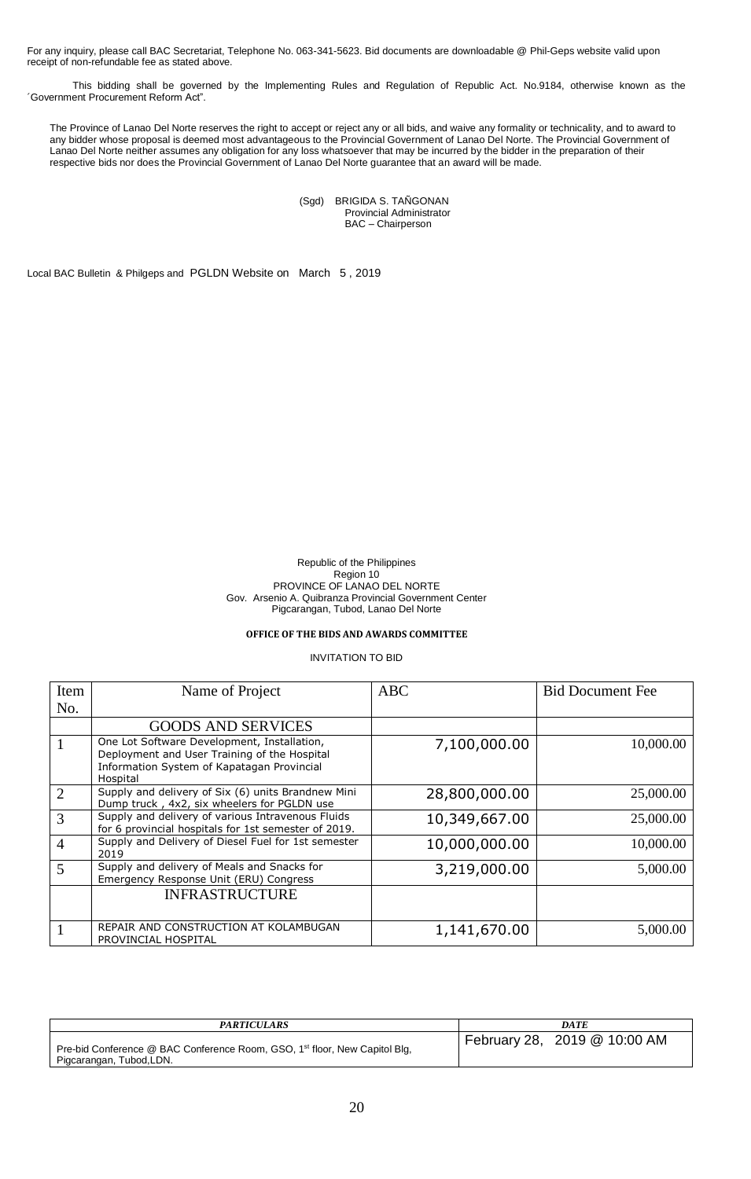This bidding shall be governed by the Implementing Rules and Regulation of Republic Act. No.9184, otherwise known as the ´Government Procurement Reform Act".

The Province of Lanao Del Norte reserves the right to accept or reject any or all bids, and waive any formality or technicality, and to award to any bidder whose proposal is deemed most advantageous to the Provincial Government of Lanao Del Norte. The Provincial Government of Lanao Del Norte neither assumes any obligation for any loss whatsoever that may be incurred by the bidder in the preparation of their respective bids nor does the Provincial Government of Lanao Del Norte guarantee that an award will be made.

> (Sgd) BRIGIDA S. TAÑGONAN Provincial Administrator BAC – Chairperson

Local BAC Bulletin & Philgeps and PGLDN Website on March 5 , 2019

Republic of the Philippines Region 10 PROVINCE OF LANAO DEL NORTE Gov. Arsenio A. Quibranza Provincial Government Center Pigcarangan, Tubod, Lanao Del Norte

# **OFFICE OF THE BIDS AND AWARDS COMMITTEE**

| Item           | Name of Project                                                                                                                                       | <b>ABC</b>    | <b>Bid Document Fee</b> |
|----------------|-------------------------------------------------------------------------------------------------------------------------------------------------------|---------------|-------------------------|
| No.            |                                                                                                                                                       |               |                         |
|                | <b>GOODS AND SERVICES</b>                                                                                                                             |               |                         |
|                | One Lot Software Development, Installation,<br>Deployment and User Training of the Hospital<br>Information System of Kapatagan Provincial<br>Hospital | 7,100,000.00  | 10,000.00               |
| $\overline{2}$ | Supply and delivery of Six (6) units Brandnew Mini<br>Dump truck, 4x2, six wheelers for PGLDN use                                                     | 28,800,000.00 | 25,000.00               |
| 3              | Supply and delivery of various Intravenous Fluids<br>for 6 provincial hospitals for 1st semester of 2019.                                             | 10,349,667.00 | 25,000.00               |
| $\overline{4}$ | Supply and Delivery of Diesel Fuel for 1st semester<br>2019                                                                                           | 10,000,000.00 | 10,000.00               |
| 5              | Supply and delivery of Meals and Snacks for<br>Emergency Response Unit (ERU) Congress                                                                 | 3,219,000.00  | 5,000.00                |
|                | <b>INFRASTRUCTURE</b>                                                                                                                                 |               |                         |
|                | REPAIR AND CONSTRUCTION AT KOLAMBUGAN<br>PROVINCIAL HOSPITAL                                                                                          | 1,141,670.00  | 5,000.00                |

| <b>PARTICULARS</b>                                                                                                 | DATE                         |
|--------------------------------------------------------------------------------------------------------------------|------------------------------|
| Pre-bid Conference @ BAC Conference Room, GSO, 1 <sup>st</sup> floor, New Capitol Blg,<br>Pigcarangan, Tubod, LDN. | February 28, 2019 @ 10:00 AM |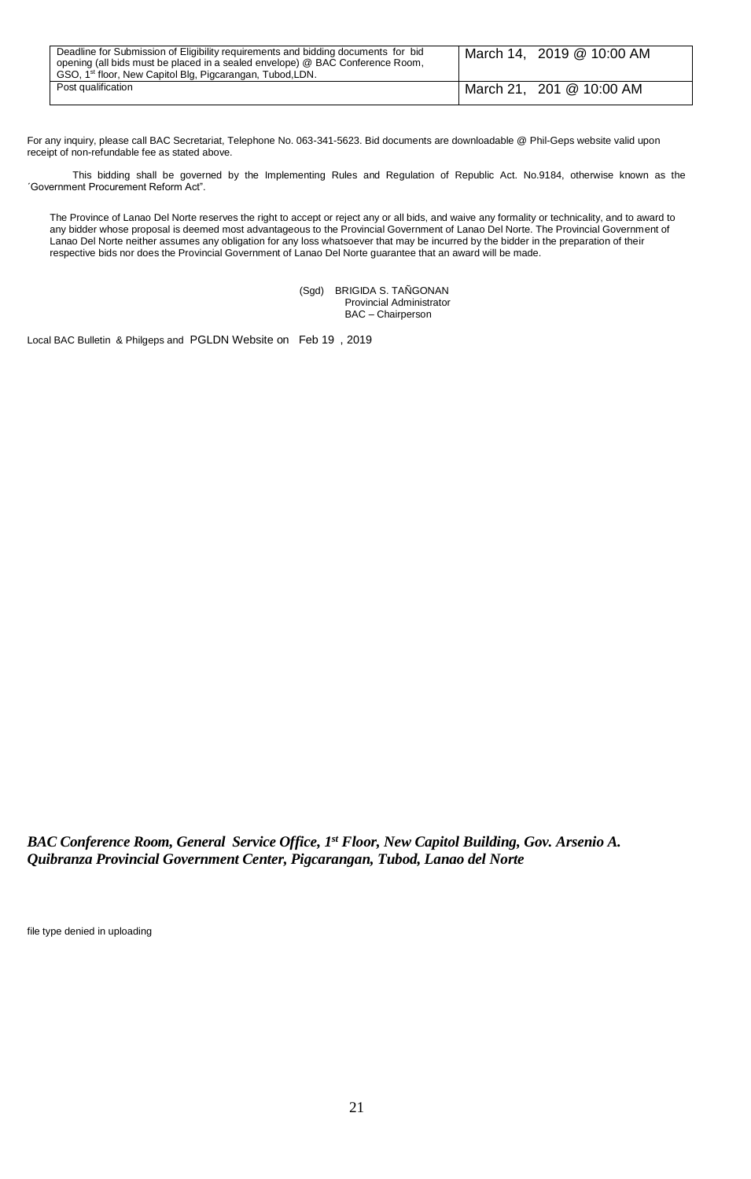| Deadline for Submission of Eligibility requirements and bidding documents for bid<br>opening (all bids must be placed in a sealed envelope) @ BAC Conference Room,<br>GSO, 1 <sup>st</sup> floor, New Capitol Blg, Pigcarangan, Tubod, LDN. | March 14, 2019 @ 10:00 AM |
|---------------------------------------------------------------------------------------------------------------------------------------------------------------------------------------------------------------------------------------------|---------------------------|
| Post qualification                                                                                                                                                                                                                          | March 21, 201 @ 10:00 AM  |

This bidding shall be governed by the Implementing Rules and Regulation of Republic Act. No.9184, otherwise known as the ´Government Procurement Reform Act".

The Province of Lanao Del Norte reserves the right to accept or reject any or all bids, and waive any formality or technicality, and to award to any bidder whose proposal is deemed most advantageous to the Provincial Government of Lanao Del Norte. The Provincial Government of Lanao Del Norte neither assumes any obligation for any loss whatsoever that may be incurred by the bidder in the preparation of their respective bids nor does the Provincial Government of Lanao Del Norte guarantee that an award will be made.

> (Sgd) BRIGIDA S. TAÑGONAN Provincial Administrator BAC – Chairperson

Local BAC Bulletin & Philgeps and PGLDN Website on Feb 19 , 2019

*BAC Conference Room, General Service Office, 1st Floor, New Capitol Building, Gov. Arsenio A. Quibranza Provincial Government Center, Pigcarangan, Tubod, Lanao del Norte*

file type denied in uploading